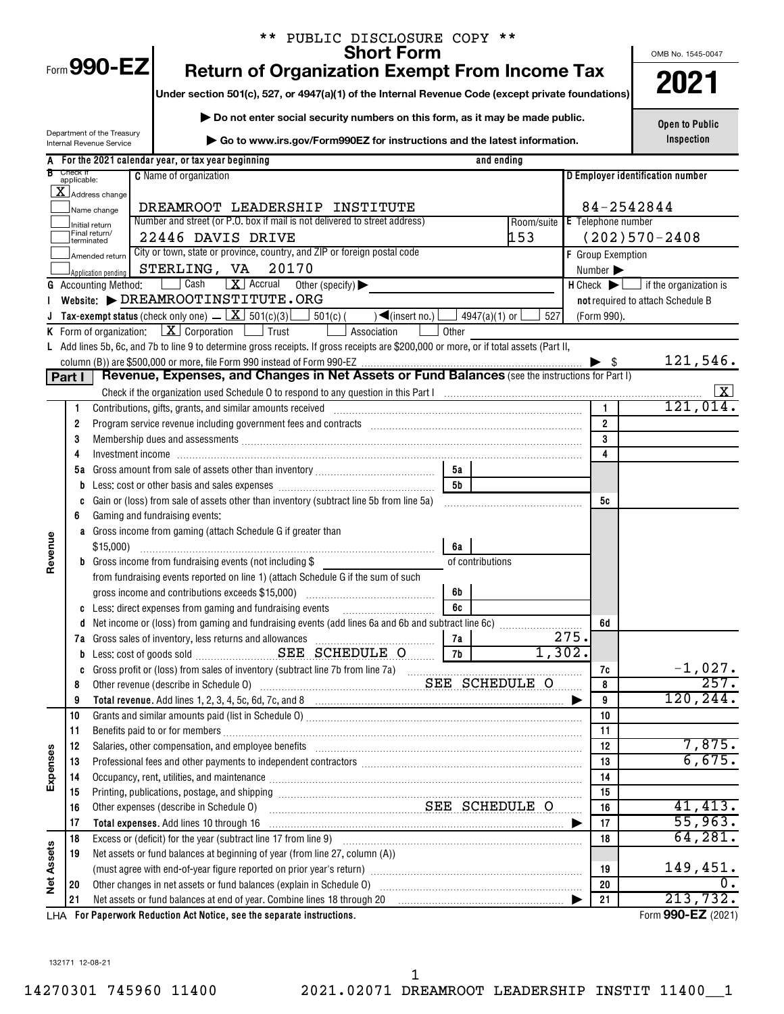|                   |                         |                                                        | ** PUBLIC DISCLOSURE COPY **<br><b>Short Form</b>                                                                                       |       |                         |                |                           | OMB No. 1545-0047                                                                                  |
|-------------------|-------------------------|--------------------------------------------------------|-----------------------------------------------------------------------------------------------------------------------------------------|-------|-------------------------|----------------|---------------------------|----------------------------------------------------------------------------------------------------|
|                   |                         | Form 990-EZ                                            | <b>Return of Organization Exempt From Income Tax</b>                                                                                    |       |                         |                |                           |                                                                                                    |
|                   |                         |                                                        | Under section 501(c), 527, or 4947(a)(1) of the Internal Revenue Code (except private foundations)                                      |       |                         |                |                           | 2021                                                                                               |
|                   |                         |                                                        | Do not enter social security numbers on this form, as it may be made public.                                                            |       |                         |                |                           |                                                                                                    |
|                   |                         | Department of the Treasury<br>Internal Revenue Service | Go to www.irs.gov/Form990EZ for instructions and the latest information.                                                                |       |                         |                |                           | <b>Open to Public</b><br>Inspection                                                                |
|                   |                         |                                                        | A For the 2021 calendar year, or tax year beginning                                                                                     |       | and ending              |                |                           |                                                                                                    |
| B                 | Check if<br>applicable: |                                                        | <b>C</b> Name of organization                                                                                                           |       |                         |                |                           | D Employer identification number                                                                   |
|                   |                         | $\overline{\mathbf{X}}$ Address change                 |                                                                                                                                         |       |                         |                |                           |                                                                                                    |
|                   |                         | Name change                                            | DREAMROOT LEADERSHIP INSTITUTE                                                                                                          |       |                         |                | 84-2542844                |                                                                                                    |
|                   |                         | Initial return<br>Final return/                        | Number and street (or P.O. box if mail is not delivered to street address)                                                              |       | Room/suite              |                | <b>E</b> Telephone number |                                                                                                    |
|                   | Iterminated             |                                                        | 22446 DAVIS DRIVE                                                                                                                       |       | 153                     |                |                           | $(202)570 - 2408$                                                                                  |
|                   |                         | Amended return                                         | City or town, state or province, country, and ZIP or foreign postal code                                                                |       |                         |                | F Group Exemption         |                                                                                                    |
|                   |                         | Application pending                                    | STERLING, VA 20170<br>$\boxed{\mathbf{X}}$ Accrual<br>    Cash                                                                          |       |                         |                | Number >                  |                                                                                                    |
|                   |                         | <b>G</b> Accounting Method:                            | Other (specify) $\blacktriangleright$<br>Website: DREAMROOTINSTITUTE.ORG                                                                |       |                         |                |                           | $H$ Check $\blacktriangleright$ $\Box$ if the organization is<br>not required to attach Schedule B |
|                   |                         |                                                        | <b>Tax-exempt status</b> (check only one) $\_\_\_\_\underline{X}$ 501(c)(3)<br>$501(c)$ (<br>$\sqrt{\frac{2}{\text{ (insert no.)}}}$    |       | 4947(a)(1) or $\lfloor$ | 527            | (Form 990).               |                                                                                                    |
|                   |                         |                                                        | <b>K</b> Form of organization: $\boxed{\mathbf{X}}$ Corporation<br>$\Box$ Trust<br>Association                                          | Other |                         |                |                           |                                                                                                    |
|                   |                         |                                                        | L Add lines 5b, 6c, and 7b to line 9 to determine gross receipts. If gross receipts are \$200,000 or more, or if total assets (Part II, |       |                         |                |                           |                                                                                                    |
|                   |                         |                                                        |                                                                                                                                         |       |                         |                | $\blacktriangleright$ \$  | 121,546.                                                                                           |
|                   | Part I                  |                                                        | Revenue, Expenses, and Changes in Net Assets or Fund Balances (see the instructions for Part I)                                         |       |                         |                |                           |                                                                                                    |
|                   |                         |                                                        |                                                                                                                                         |       |                         |                |                           |                                                                                                    |
|                   | 1                       |                                                        |                                                                                                                                         |       |                         |                | $\mathbf{1}$              | 121,014.                                                                                           |
|                   | 2                       |                                                        |                                                                                                                                         |       |                         |                | $\overline{2}$            |                                                                                                    |
|                   | 3                       |                                                        | Membership dues and assessments [1111] Martin Martin Martin Martin Martin Martin Martin Martin Martin Martin M                          |       |                         |                | 3                         |                                                                                                    |
|                   | 4                       |                                                        |                                                                                                                                         |       |                         |                | $\overline{\mathbf{4}}$   |                                                                                                    |
|                   | 5а                      |                                                        |                                                                                                                                         | 5а    |                         |                |                           |                                                                                                    |
|                   |                         |                                                        | Gain or (loss) from sale of assets other than inventory (subtract line 5b from line 5a)                                                 | 5b    |                         |                | 5с                        |                                                                                                    |
|                   | 6                       |                                                        | Gaming and fundraising events:                                                                                                          |       |                         |                |                           |                                                                                                    |
|                   | a                       |                                                        | Gross income from gaming (attach Schedule G if greater than                                                                             |       |                         |                |                           |                                                                                                    |
|                   |                         | \$15,000)                                              |                                                                                                                                         | 6а    |                         |                |                           |                                                                                                    |
| Revenue           |                         |                                                        | <b>b</b> Gross income from fundraising events (not including \$                                                                         |       | of contributions        |                |                           |                                                                                                    |
|                   |                         |                                                        | from fundraising events reported on line 1) (attach Schedule G if the sum of such                                                       |       |                         |                |                           |                                                                                                    |
|                   |                         |                                                        |                                                                                                                                         | 6b    |                         |                |                           |                                                                                                    |
|                   |                         |                                                        | Less: direct expenses from gaming and fundraising events                                                                                | 6c    |                         |                |                           |                                                                                                    |
|                   | đ                       |                                                        |                                                                                                                                         |       |                         |                | 6d                        |                                                                                                    |
|                   | 7a                      |                                                        | Gross sales of inventory, less returns and allowances                                                                                   | 7a    |                         | 275.<br>1,302. |                           |                                                                                                    |
|                   | b                       |                                                        |                                                                                                                                         | 7b    |                         |                |                           | $-1,027.$                                                                                          |
|                   | 8                       |                                                        | SEE SCHEDULE O<br>Other revenue (describe in Schedule O)                                                                                |       |                         |                | 7c<br>8                   | 257.                                                                                               |
|                   | 9                       |                                                        |                                                                                                                                         |       |                         |                | 9                         | 120, 244.                                                                                          |
|                   | 10                      |                                                        |                                                                                                                                         |       |                         |                | 10                        |                                                                                                    |
|                   | 11                      |                                                        |                                                                                                                                         |       |                         |                | 11                        |                                                                                                    |
|                   | 12                      |                                                        |                                                                                                                                         |       |                         |                | 12                        | 7,875.                                                                                             |
| Expenses          | 13                      |                                                        |                                                                                                                                         |       |                         |                | 13                        | 6,675.                                                                                             |
|                   | 14                      |                                                        | Occupancy, rent, utilities, and maintenance manual content content and a series of the manual content and main                          |       |                         |                | 14                        |                                                                                                    |
|                   | 15                      |                                                        |                                                                                                                                         |       |                         |                | 15                        |                                                                                                    |
|                   | 16                      |                                                        | SEE SCHEDULE O<br>Other expenses (describe in Schedule O)                                                                               |       |                         |                | 16                        | 41, 413.                                                                                           |
|                   | 17                      |                                                        | Total expenses. Add lines 10 through 16                                                                                                 |       |                         |                | 17                        | 55,963.                                                                                            |
|                   | 18                      |                                                        | Excess or (deficit) for the year (subtract line 17 from line 9)                                                                         |       |                         |                | 18                        | 64, 281.                                                                                           |
|                   | 19                      |                                                        | Net assets or fund balances at beginning of year (from line 27, column (A))                                                             |       |                         |                |                           | 149,451.                                                                                           |
| <b>Net Assets</b> | 20                      |                                                        |                                                                                                                                         |       |                         |                | 19<br>20                  | 0.                                                                                                 |
|                   | 21                      |                                                        |                                                                                                                                         |       |                         |                | 21                        | 213,732.                                                                                           |

**For Paperwork Reduction Act Notice, see the separate instructions.** LHA Form (2021)

Form **990-EZ** (2021)

132171 12-08-21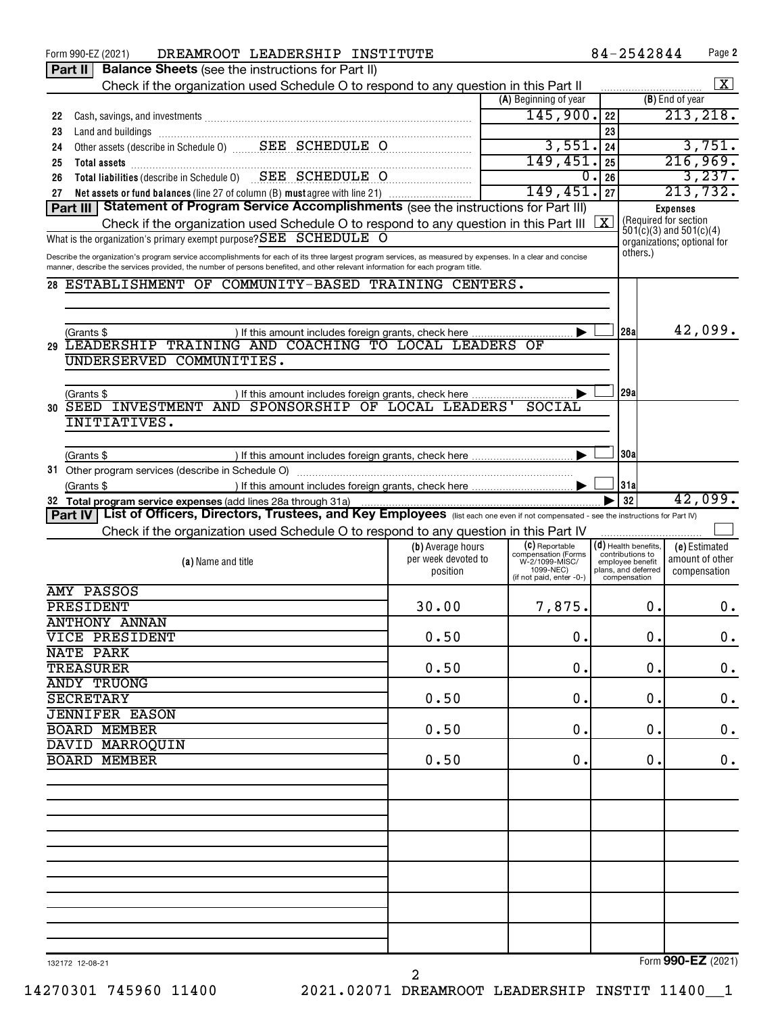| DREAMROOT LEADERSHIP INSTITUTE<br>Form 990-EZ (2021)                                                                                                        |                                 |                                       | 84-2542844                               | Page 2                                               |
|-------------------------------------------------------------------------------------------------------------------------------------------------------------|---------------------------------|---------------------------------------|------------------------------------------|------------------------------------------------------|
| <b>Balance Sheets</b> (see the instructions for Part II)<br>Part II                                                                                         |                                 |                                       |                                          |                                                      |
| Check if the organization used Schedule O to respond to any question in this Part II                                                                        |                                 |                                       |                                          | $\mathbf{X}$                                         |
|                                                                                                                                                             |                                 | (A) Beginning of year                 |                                          | (B) End of year                                      |
| 22                                                                                                                                                          |                                 | 145,900.                              | 22                                       | 213, 218.                                            |
| 23                                                                                                                                                          |                                 |                                       | 23                                       |                                                      |
| Land and buildings<br>Other assets (describe in Schedule 0)<br>Cher assets (describe in Schedule 0)<br>CHEDULE O<br>24                                      |                                 | 3,551.                                | 24                                       | 3,751.                                               |
| 25                                                                                                                                                          |                                 | 149,451.                              | 25                                       | 216,969.                                             |
| Total assets<br>Total liabilities (describe in Schedule 0)<br>SEE SCHEDULE O<br>26                                                                          |                                 | 0                                     | 26                                       | 3,237.                                               |
| Net assets or fund balances (line 27 of column (B) must agree with line 21)<br>27                                                                           |                                 | 149,451                               | 27                                       | 213,732.                                             |
| Part III   Statement of Program Service Accomplishments (see the instructions for Part III)                                                                 |                                 |                                       |                                          | <b>Expenses</b>                                      |
| Check if the organization used Schedule O to respond to any question in this Part III                                                                       |                                 |                                       | $\overline{\textbf{x}}$                  | (Required for section<br>$501(c)(3)$ and $501(c)(4)$ |
| What is the organization's primary exempt purpose? SEE SCHEDULE O                                                                                           |                                 |                                       |                                          | organizations; optional for                          |
| Describe the organization's program service accomplishments for each of its three largest program services, as measured by expenses. In a clear and concise |                                 |                                       | others.)                                 |                                                      |
| manner, describe the services provided, the number of persons benefited, and other relevant information for each program title.                             |                                 |                                       |                                          |                                                      |
| ESTABLISHMENT OF COMMUNITY-BASED TRAINING CENTERS.<br>28                                                                                                    |                                 |                                       |                                          |                                                      |
|                                                                                                                                                             |                                 |                                       |                                          |                                                      |
|                                                                                                                                                             |                                 |                                       |                                          |                                                      |
| (Grants \$                                                                                                                                                  |                                 | ▶                                     | 28a                                      | 42,099.                                              |
| LEADERSHIP TRAINING AND COACHING TO LOCAL LEADERS OF<br>29                                                                                                  |                                 |                                       |                                          |                                                      |
| UNDERSERVED COMMUNITIES.                                                                                                                                    |                                 |                                       |                                          |                                                      |
|                                                                                                                                                             |                                 |                                       |                                          |                                                      |
| (Grants \$<br>) If this amount includes foreign grants, check here                                                                                          |                                 |                                       | 29a                                      |                                                      |
| SPONSORSHIP OF LOCAL LEADERS'<br>SEED INVESTMENT AND<br>30                                                                                                  |                                 | SOCIAL                                |                                          |                                                      |
| <b>INITIATIVES.</b>                                                                                                                                         |                                 |                                       |                                          |                                                      |
|                                                                                                                                                             |                                 |                                       |                                          |                                                      |
| (Grants \$                                                                                                                                                  |                                 |                                       | 30a                                      |                                                      |
| 31 Other program services (describe in Schedule O)                                                                                                          |                                 |                                       |                                          |                                                      |
| (Grants \$                                                                                                                                                  |                                 |                                       | 31a                                      |                                                      |
|                                                                                                                                                             |                                 |                                       | 32                                       | 42,099.                                              |
| Part IV   List of Officers, Directors, Trustees, and Key Employees (list each one even if not compensated - see the instructions for Part IV)               |                                 |                                       |                                          |                                                      |
| Check if the organization used Schedule O to respond to any question in this Part IV                                                                        |                                 |                                       |                                          |                                                      |
|                                                                                                                                                             | (b) Average hours               | (C) Reportable<br>compénsation (Forms | (d) Health benefits,<br>contributions to | (e) Estimated                                        |
| (a) Name and title                                                                                                                                          | per week devoted to<br>position | W-2/1099-MISC/<br>1099-NEC)           | employee benefit<br>plans, and deferred  | amount of other<br>compensation                      |
|                                                                                                                                                             |                                 | (if not paid, enter -0-)              | compensation                             |                                                      |
| <b>AMY PASSOS</b>                                                                                                                                           |                                 |                                       |                                          |                                                      |
| PRESIDENT                                                                                                                                                   | 30.00                           | 7,875.                                | 0.                                       | 0.                                                   |
| <b>ANTHONY ANNAN</b>                                                                                                                                        |                                 |                                       |                                          |                                                      |
| VICE PRESIDENT                                                                                                                                              | 0.50                            | $\mathbf 0$ .                         | $\mathbf 0$ .                            | $0 \cdot$                                            |
| NATE PARK                                                                                                                                                   |                                 |                                       |                                          |                                                      |
| <b>TREASURER</b>                                                                                                                                            | 0.50                            | 0.                                    | 0.                                       | $\boldsymbol{0}$ .                                   |
| <b>ANDY TRUONG</b>                                                                                                                                          |                                 |                                       |                                          |                                                      |
| <b>SECRETARY</b><br><b>JENNIFER EASON</b>                                                                                                                   | 0.50                            | 0.                                    | 0.                                       | $0\cdot$                                             |
| <b>BOARD MEMBER</b>                                                                                                                                         | 0.50                            |                                       |                                          |                                                      |
| <b>DAVID MARROQUIN</b>                                                                                                                                      |                                 | 0.                                    | 0.                                       | $0\cdot$                                             |
| <b>BOARD MEMBER</b>                                                                                                                                         | 0.50                            | 0.                                    | 0.                                       | 0.                                                   |
|                                                                                                                                                             |                                 |                                       |                                          |                                                      |
|                                                                                                                                                             |                                 |                                       |                                          |                                                      |
|                                                                                                                                                             |                                 |                                       |                                          |                                                      |
|                                                                                                                                                             |                                 |                                       |                                          |                                                      |
|                                                                                                                                                             |                                 |                                       |                                          |                                                      |
|                                                                                                                                                             |                                 |                                       |                                          |                                                      |
|                                                                                                                                                             |                                 |                                       |                                          |                                                      |
|                                                                                                                                                             |                                 |                                       |                                          |                                                      |
|                                                                                                                                                             |                                 |                                       |                                          |                                                      |
|                                                                                                                                                             |                                 |                                       |                                          |                                                      |
|                                                                                                                                                             |                                 |                                       |                                          |                                                      |
|                                                                                                                                                             |                                 |                                       |                                          |                                                      |
| 132172 12-08-21                                                                                                                                             |                                 |                                       |                                          | Form 990-EZ (2021)                                   |
|                                                                                                                                                             |                                 |                                       |                                          |                                                      |

14270301 745960 11400 2021.02071 DREAMROOT LEADERSHIP INSTIT 11400\_\_1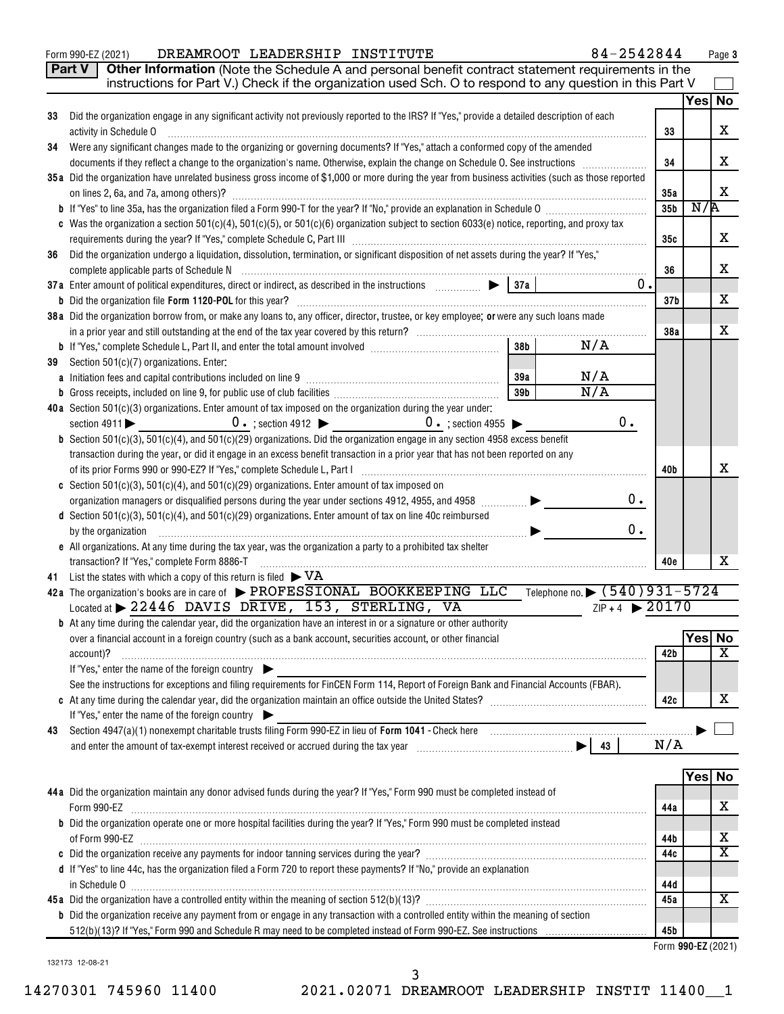|    | Other Information (Note the Schedule A and personal benefit contract statement requirements in the<br>Part V<br>instructions for Part V.) Check if the organization used Sch. O to respond to any question in this Part V |                    |         |                            |
|----|---------------------------------------------------------------------------------------------------------------------------------------------------------------------------------------------------------------------------|--------------------|---------|----------------------------|
|    |                                                                                                                                                                                                                           |                    | Yes∣ No |                            |
| 33 | Did the organization engage in any significant activity not previously reported to the IRS? If "Yes," provide a detailed description of each                                                                              |                    |         |                            |
|    | activity in Schedule O                                                                                                                                                                                                    | 33                 |         | X                          |
| 34 | Were any significant changes made to the organizing or governing documents? If "Yes," attach a conformed copy of the amended                                                                                              |                    |         | X                          |
|    | 35a Did the organization have unrelated business gross income of \$1,000 or more during the year from business activities (such as those reported                                                                         | 34                 |         |                            |
|    | on lines 2, 6a, and 7a, among others)?                                                                                                                                                                                    | 35a                |         | X                          |
|    |                                                                                                                                                                                                                           | 35 <sub>b</sub>    | N/R     |                            |
|    | c Was the organization a section 501(c)(4), 501(c)(5), or 501(c)(6) organization subject to section 6033(e) notice, reporting, and proxy tax                                                                              |                    |         |                            |
|    |                                                                                                                                                                                                                           | 35с                |         | X                          |
| 36 | Did the organization undergo a liquidation, dissolution, termination, or significant disposition of net assets during the year? If "Yes,"                                                                                 |                    |         |                            |
|    |                                                                                                                                                                                                                           | 36                 |         | X                          |
|    | 0.<br>37a Enter amount of political expenditures, direct or indirect, as described in the instructions  ▶   37a                                                                                                           |                    |         |                            |
|    |                                                                                                                                                                                                                           | 37 <sub>b</sub>    |         | X                          |
|    | 38a Did the organization borrow from, or make any loans to, any officer, director, trustee, or key employee; or were any such loans made                                                                                  |                    |         |                            |
|    |                                                                                                                                                                                                                           | 38a                |         | X                          |
|    | N/A<br>38 <sub>b</sub>                                                                                                                                                                                                    |                    |         |                            |
| 39 | Section 501(c)(7) organizations. Enter:                                                                                                                                                                                   |                    |         |                            |
|    | N/A<br>39a<br>N/A                                                                                                                                                                                                         |                    |         |                            |
|    | 39b<br>40a Section 501(c)(3) organizations. Enter amount of tax imposed on the organization during the year under:                                                                                                        |                    |         |                            |
|    | section 4911 $\triangleright$ 0 $\cdot$ ; section 4912 $\triangleright$ 0 $\cdot$ ; section 4955 $\triangleright$<br>0.                                                                                                   |                    |         |                            |
|    | <b>b</b> Section $501(c)(3)$ , $501(c)(4)$ , and $501(c)(29)$ organizations. Did the organization engage in any section 4958 excess benefit                                                                               |                    |         |                            |
|    | transaction during the year, or did it engage in an excess benefit transaction in a prior year that has not been reported on any                                                                                          |                    |         |                            |
|    | of its prior Forms 990 or 990-EZ? If "Yes," complete Schedule L, Part I [1] [1] [1] [1] [1] [1] [1] [1] [1] [1                                                                                                            | 40b                |         | х                          |
|    | <b>c</b> Section 501(c)(3), 501(c)(4), and 501(c)(29) organizations. Enter amount of tax imposed on                                                                                                                       |                    |         |                            |
|    | 0.<br>organization managers or disqualified persons during the year under sections 4912, 4955, and 4958                                                                                                                   |                    |         |                            |
|    | d Section 501(c)(3), 501(c)(4), and 501(c)(29) organizations. Enter amount of tax on line 40c reimbursed                                                                                                                  |                    |         |                            |
|    | 0.<br>by the organization                                                                                                                                                                                                 |                    |         |                            |
|    | e All organizations. At any time during the tax year, was the organization a party to a prohibited tax shelter                                                                                                            |                    |         |                            |
|    | transaction? If "Yes," complete Form 8886-T                                                                                                                                                                               | 40 <sub>e</sub>    |         | x                          |
|    | 41 List the states with which a copy of this return is filed $\triangleright$ VA                                                                                                                                          |                    |         |                            |
|    | Telephone no. $\triangleright$ (540) 931-5724<br>42a The organization's books are in care of $\triangleright$ PROFESSIONAL BOOKKEEPING LLC<br>Located at > 22446 DAVIS DRIVE, 153, STERLING, VA<br>$ZIP + 4$ 20170        |                    |         |                            |
|    | <b>b</b> At any time during the calendar year, did the organization have an interest in or a signature or other authority                                                                                                 |                    |         |                            |
|    | over a financial account in a foreign country (such as a bank account, securities account, or other financial                                                                                                             |                    | Yes No  |                            |
|    | account)?                                                                                                                                                                                                                 | 42b                |         | $\overline{\mathbf{x}}$    |
|    | If "Yes," enter the name of the foreign country                                                                                                                                                                           |                    |         |                            |
|    | See the instructions for exceptions and filing requirements for FinCEN Form 114, Report of Foreign Bank and Financial Accounts (FBAR).                                                                                    |                    |         |                            |
|    |                                                                                                                                                                                                                           | 42c                |         | x                          |
|    | If "Yes," enter the name of the foreign country                                                                                                                                                                           |                    |         |                            |
| 43 |                                                                                                                                                                                                                           |                    |         |                            |
|    |                                                                                                                                                                                                                           | N/A                |         |                            |
|    |                                                                                                                                                                                                                           |                    |         |                            |
|    |                                                                                                                                                                                                                           |                    | Yes No  |                            |
|    | 44a Did the organization maintain any donor advised funds during the year? If "Yes," Form 990 must be completed instead of                                                                                                |                    |         |                            |
|    |                                                                                                                                                                                                                           | 44a                |         | X                          |
|    | b Did the organization operate one or more hospital facilities during the year? If "Yes," Form 990 must be completed instead                                                                                              |                    |         |                            |
|    |                                                                                                                                                                                                                           | 44 b<br>44c        |         | х<br>$\overline{\text{X}}$ |
|    | d If "Yes" to line 44c, has the organization filed a Form 720 to report these payments? If "No," provide an explanation                                                                                                   |                    |         |                            |
|    | in Schedule 0                                                                                                                                                                                                             | 44d                |         |                            |
|    |                                                                                                                                                                                                                           | 45a                |         | x                          |
|    | <b>b</b> Did the organization receive any payment from or engage in any transaction with a controlled entity within the meaning of section                                                                                |                    |         |                            |
|    |                                                                                                                                                                                                                           | 45b                |         |                            |
|    |                                                                                                                                                                                                                           | Form 990-EZ (2021) |         |                            |

Form 990-EZ (2021) **DREAMROOT LEADERSHIP INSTITUTE** 84-2542844 Page

132173 12-08-21

14270301 745960 11400 2021.02071 DREAMROOT LEADERSHIP INSTIT 11400\_\_1 3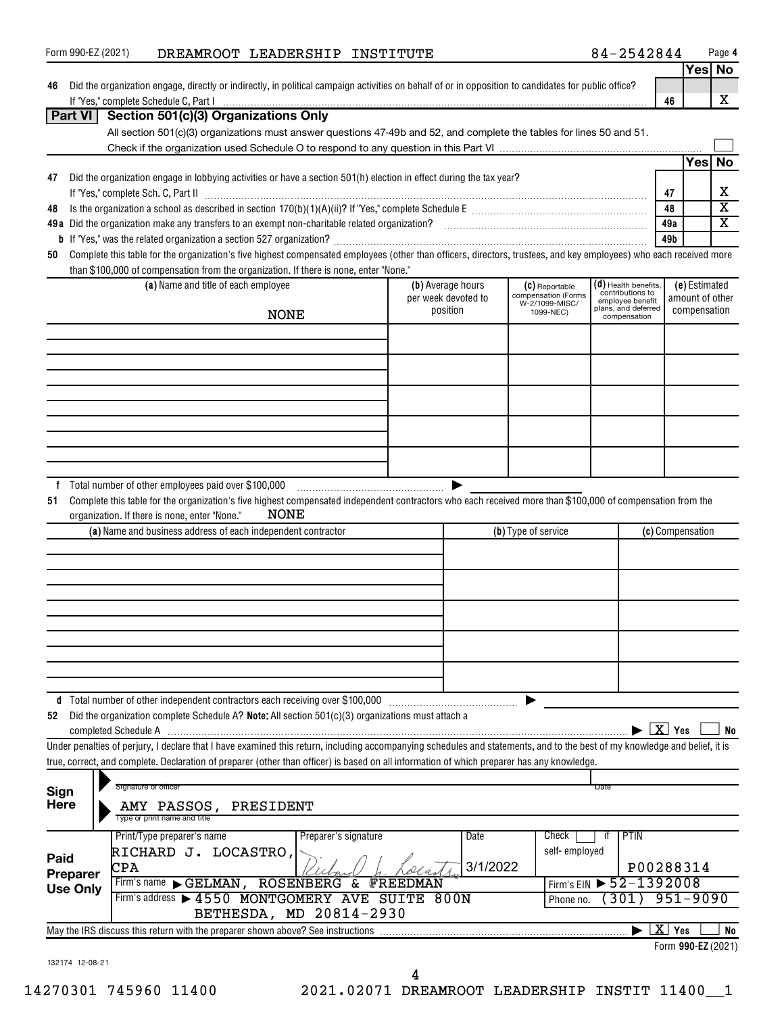|                                                                                                                                                                                                                                                                                                                                                                                                                                                                                                                                                                                                                                                                                                                                                                                                                                                                                                                                                                                                                                                                                                                                                                                                                                                                                                                                                                                                                                                                                                                                                                                                                                                                                                                                                                                                                                                                                                                                                                                                                                                                                                                                                                                                                                                                                                                                                                                                              |    |  |  |  | x                       |
|--------------------------------------------------------------------------------------------------------------------------------------------------------------------------------------------------------------------------------------------------------------------------------------------------------------------------------------------------------------------------------------------------------------------------------------------------------------------------------------------------------------------------------------------------------------------------------------------------------------------------------------------------------------------------------------------------------------------------------------------------------------------------------------------------------------------------------------------------------------------------------------------------------------------------------------------------------------------------------------------------------------------------------------------------------------------------------------------------------------------------------------------------------------------------------------------------------------------------------------------------------------------------------------------------------------------------------------------------------------------------------------------------------------------------------------------------------------------------------------------------------------------------------------------------------------------------------------------------------------------------------------------------------------------------------------------------------------------------------------------------------------------------------------------------------------------------------------------------------------------------------------------------------------------------------------------------------------------------------------------------------------------------------------------------------------------------------------------------------------------------------------------------------------------------------------------------------------------------------------------------------------------------------------------------------------------------------------------------------------------------------------------------------------|----|--|--|--|-------------------------|
|                                                                                                                                                                                                                                                                                                                                                                                                                                                                                                                                                                                                                                                                                                                                                                                                                                                                                                                                                                                                                                                                                                                                                                                                                                                                                                                                                                                                                                                                                                                                                                                                                                                                                                                                                                                                                                                                                                                                                                                                                                                                                                                                                                                                                                                                                                                                                                                                              |    |  |  |  |                         |
|                                                                                                                                                                                                                                                                                                                                                                                                                                                                                                                                                                                                                                                                                                                                                                                                                                                                                                                                                                                                                                                                                                                                                                                                                                                                                                                                                                                                                                                                                                                                                                                                                                                                                                                                                                                                                                                                                                                                                                                                                                                                                                                                                                                                                                                                                                                                                                                                              |    |  |  |  |                         |
| Did the organization engage, directly or indirectly, in political campaign activities on behalf of or in opposition to candidates for public office?<br>46<br>If "Yes," complete Schedule C, Part I <u>www.communications.communications.communications.com</u><br>46<br>Part VI<br>Section 501(c)(3) Organizations Only<br>All section 501(c)(3) organizations must answer questions 47-49b and 52, and complete the tables for lines 50 and 51.<br>Did the organization engage in lobbying activities or have a section 501(h) election in effect during the tax year?<br>47<br>47<br>48<br>48<br>49a Did the organization make any transfers to an exempt non-charitable related organization?<br>2010 min. matter or matters matters are continued to the contraction makes any transmission of the contraction<br>49a<br>49b<br>50<br>than \$100,000 of compensation from the organization. If there is none, enter "None."<br>$(d)$ Health benefits,<br>(a) Name and title of each employee<br>(b) Average hours<br>(C) Reportable<br>contributions to<br>compensation (Forms<br>per week devoted to<br>employee benefit<br>W-2/1099-MISC/<br>plans, and deferred<br>position<br>1099-NEC)<br><b>NONE</b><br>compensation<br>51<br><b>NONE</b><br>organization. If there is none, enter "None."<br>(a) Name and business address of each independent contractor<br>(b) Type of service<br>d Total number of other independent contractors each receiving over \$100,000<br>Did the organization complete Schedule A? Note: All section 501(c)(3) organizations must attach a<br>52<br>$\boxed{\text{X}}$ Yes<br>true, correct, and complete. Declaration of preparer (other than officer) is based on all information of which preparer has any knowledge.<br>Signature of officer<br>Date<br>Sign<br><b>Here</b><br>AMY PASSOS, PRESIDENT<br>Type or print name and title<br>Check<br>PTIN<br>Print/Type preparer's name<br>Preparer's signature<br>Date<br>ा<br>self-employed<br>RICHARD J. LOCASTRO,<br>Paid<br>3/1/2022<br>CPA<br>Preparer<br>$\blacktriangleright$ 52-1392008<br>Firm's name GELMAN, ROSENBERG<br>$\delta$<br><b><i>FREEDMAN</i></b><br>Firm's EIN<br><b>Use Only</b><br>Firm's address > 4550 MONTGOMERY AVE SUITE 800N<br>301)<br>Phone no.<br>BETHESDA, MD 20814-2930<br>$\overline{X}$ Yes<br>May the IRS discuss this return with the preparer shown above? See instructions |    |  |  |  |                         |
| Yes No<br><b>Yes</b><br>Complete this table for the organization's five highest compensated employees (other than officers, directors, trustees, and key employees) who each received more<br>(e) Estimated<br>amount of other<br>compensation<br>Complete this table for the organization's five highest compensated independent contractors who each received more than \$100,000 of compensation from the<br>(c) Compensation<br>Under penalties of perjury, I declare that I have examined this return, including accompanying schedules and statements, and to the best of my knowledge and belief, it is<br>P00288314<br>$951 - 9090$<br>Form 990-EZ (2021)                                                                                                                                                                                                                                                                                                                                                                                                                                                                                                                                                                                                                                                                                                                                                                                                                                                                                                                                                                                                                                                                                                                                                                                                                                                                                                                                                                                                                                                                                                                                                                                                                                                                                                                                            | No |  |  |  |                         |
|                                                                                                                                                                                                                                                                                                                                                                                                                                                                                                                                                                                                                                                                                                                                                                                                                                                                                                                                                                                                                                                                                                                                                                                                                                                                                                                                                                                                                                                                                                                                                                                                                                                                                                                                                                                                                                                                                                                                                                                                                                                                                                                                                                                                                                                                                                                                                                                                              |    |  |  |  | х                       |
|                                                                                                                                                                                                                                                                                                                                                                                                                                                                                                                                                                                                                                                                                                                                                                                                                                                                                                                                                                                                                                                                                                                                                                                                                                                                                                                                                                                                                                                                                                                                                                                                                                                                                                                                                                                                                                                                                                                                                                                                                                                                                                                                                                                                                                                                                                                                                                                                              |    |  |  |  | $\overline{\texttt{x}}$ |
|                                                                                                                                                                                                                                                                                                                                                                                                                                                                                                                                                                                                                                                                                                                                                                                                                                                                                                                                                                                                                                                                                                                                                                                                                                                                                                                                                                                                                                                                                                                                                                                                                                                                                                                                                                                                                                                                                                                                                                                                                                                                                                                                                                                                                                                                                                                                                                                                              |    |  |  |  | $\overline{\text{X}}$   |
|                                                                                                                                                                                                                                                                                                                                                                                                                                                                                                                                                                                                                                                                                                                                                                                                                                                                                                                                                                                                                                                                                                                                                                                                                                                                                                                                                                                                                                                                                                                                                                                                                                                                                                                                                                                                                                                                                                                                                                                                                                                                                                                                                                                                                                                                                                                                                                                                              |    |  |  |  |                         |
|                                                                                                                                                                                                                                                                                                                                                                                                                                                                                                                                                                                                                                                                                                                                                                                                                                                                                                                                                                                                                                                                                                                                                                                                                                                                                                                                                                                                                                                                                                                                                                                                                                                                                                                                                                                                                                                                                                                                                                                                                                                                                                                                                                                                                                                                                                                                                                                                              |    |  |  |  |                         |
|                                                                                                                                                                                                                                                                                                                                                                                                                                                                                                                                                                                                                                                                                                                                                                                                                                                                                                                                                                                                                                                                                                                                                                                                                                                                                                                                                                                                                                                                                                                                                                                                                                                                                                                                                                                                                                                                                                                                                                                                                                                                                                                                                                                                                                                                                                                                                                                                              |    |  |  |  |                         |
|                                                                                                                                                                                                                                                                                                                                                                                                                                                                                                                                                                                                                                                                                                                                                                                                                                                                                                                                                                                                                                                                                                                                                                                                                                                                                                                                                                                                                                                                                                                                                                                                                                                                                                                                                                                                                                                                                                                                                                                                                                                                                                                                                                                                                                                                                                                                                                                                              |    |  |  |  |                         |
|                                                                                                                                                                                                                                                                                                                                                                                                                                                                                                                                                                                                                                                                                                                                                                                                                                                                                                                                                                                                                                                                                                                                                                                                                                                                                                                                                                                                                                                                                                                                                                                                                                                                                                                                                                                                                                                                                                                                                                                                                                                                                                                                                                                                                                                                                                                                                                                                              |    |  |  |  |                         |
|                                                                                                                                                                                                                                                                                                                                                                                                                                                                                                                                                                                                                                                                                                                                                                                                                                                                                                                                                                                                                                                                                                                                                                                                                                                                                                                                                                                                                                                                                                                                                                                                                                                                                                                                                                                                                                                                                                                                                                                                                                                                                                                                                                                                                                                                                                                                                                                                              |    |  |  |  |                         |
|                                                                                                                                                                                                                                                                                                                                                                                                                                                                                                                                                                                                                                                                                                                                                                                                                                                                                                                                                                                                                                                                                                                                                                                                                                                                                                                                                                                                                                                                                                                                                                                                                                                                                                                                                                                                                                                                                                                                                                                                                                                                                                                                                                                                                                                                                                                                                                                                              |    |  |  |  |                         |
|                                                                                                                                                                                                                                                                                                                                                                                                                                                                                                                                                                                                                                                                                                                                                                                                                                                                                                                                                                                                                                                                                                                                                                                                                                                                                                                                                                                                                                                                                                                                                                                                                                                                                                                                                                                                                                                                                                                                                                                                                                                                                                                                                                                                                                                                                                                                                                                                              |    |  |  |  |                         |
|                                                                                                                                                                                                                                                                                                                                                                                                                                                                                                                                                                                                                                                                                                                                                                                                                                                                                                                                                                                                                                                                                                                                                                                                                                                                                                                                                                                                                                                                                                                                                                                                                                                                                                                                                                                                                                                                                                                                                                                                                                                                                                                                                                                                                                                                                                                                                                                                              |    |  |  |  |                         |
|                                                                                                                                                                                                                                                                                                                                                                                                                                                                                                                                                                                                                                                                                                                                                                                                                                                                                                                                                                                                                                                                                                                                                                                                                                                                                                                                                                                                                                                                                                                                                                                                                                                                                                                                                                                                                                                                                                                                                                                                                                                                                                                                                                                                                                                                                                                                                                                                              |    |  |  |  |                         |
|                                                                                                                                                                                                                                                                                                                                                                                                                                                                                                                                                                                                                                                                                                                                                                                                                                                                                                                                                                                                                                                                                                                                                                                                                                                                                                                                                                                                                                                                                                                                                                                                                                                                                                                                                                                                                                                                                                                                                                                                                                                                                                                                                                                                                                                                                                                                                                                                              |    |  |  |  |                         |
|                                                                                                                                                                                                                                                                                                                                                                                                                                                                                                                                                                                                                                                                                                                                                                                                                                                                                                                                                                                                                                                                                                                                                                                                                                                                                                                                                                                                                                                                                                                                                                                                                                                                                                                                                                                                                                                                                                                                                                                                                                                                                                                                                                                                                                                                                                                                                                                                              |    |  |  |  |                         |
|                                                                                                                                                                                                                                                                                                                                                                                                                                                                                                                                                                                                                                                                                                                                                                                                                                                                                                                                                                                                                                                                                                                                                                                                                                                                                                                                                                                                                                                                                                                                                                                                                                                                                                                                                                                                                                                                                                                                                                                                                                                                                                                                                                                                                                                                                                                                                                                                              |    |  |  |  |                         |
|                                                                                                                                                                                                                                                                                                                                                                                                                                                                                                                                                                                                                                                                                                                                                                                                                                                                                                                                                                                                                                                                                                                                                                                                                                                                                                                                                                                                                                                                                                                                                                                                                                                                                                                                                                                                                                                                                                                                                                                                                                                                                                                                                                                                                                                                                                                                                                                                              |    |  |  |  |                         |
|                                                                                                                                                                                                                                                                                                                                                                                                                                                                                                                                                                                                                                                                                                                                                                                                                                                                                                                                                                                                                                                                                                                                                                                                                                                                                                                                                                                                                                                                                                                                                                                                                                                                                                                                                                                                                                                                                                                                                                                                                                                                                                                                                                                                                                                                                                                                                                                                              |    |  |  |  |                         |
|                                                                                                                                                                                                                                                                                                                                                                                                                                                                                                                                                                                                                                                                                                                                                                                                                                                                                                                                                                                                                                                                                                                                                                                                                                                                                                                                                                                                                                                                                                                                                                                                                                                                                                                                                                                                                                                                                                                                                                                                                                                                                                                                                                                                                                                                                                                                                                                                              |    |  |  |  |                         |
|                                                                                                                                                                                                                                                                                                                                                                                                                                                                                                                                                                                                                                                                                                                                                                                                                                                                                                                                                                                                                                                                                                                                                                                                                                                                                                                                                                                                                                                                                                                                                                                                                                                                                                                                                                                                                                                                                                                                                                                                                                                                                                                                                                                                                                                                                                                                                                                                              |    |  |  |  |                         |
|                                                                                                                                                                                                                                                                                                                                                                                                                                                                                                                                                                                                                                                                                                                                                                                                                                                                                                                                                                                                                                                                                                                                                                                                                                                                                                                                                                                                                                                                                                                                                                                                                                                                                                                                                                                                                                                                                                                                                                                                                                                                                                                                                                                                                                                                                                                                                                                                              |    |  |  |  |                         |
|                                                                                                                                                                                                                                                                                                                                                                                                                                                                                                                                                                                                                                                                                                                                                                                                                                                                                                                                                                                                                                                                                                                                                                                                                                                                                                                                                                                                                                                                                                                                                                                                                                                                                                                                                                                                                                                                                                                                                                                                                                                                                                                                                                                                                                                                                                                                                                                                              |    |  |  |  |                         |
|                                                                                                                                                                                                                                                                                                                                                                                                                                                                                                                                                                                                                                                                                                                                                                                                                                                                                                                                                                                                                                                                                                                                                                                                                                                                                                                                                                                                                                                                                                                                                                                                                                                                                                                                                                                                                                                                                                                                                                                                                                                                                                                                                                                                                                                                                                                                                                                                              |    |  |  |  |                         |
|                                                                                                                                                                                                                                                                                                                                                                                                                                                                                                                                                                                                                                                                                                                                                                                                                                                                                                                                                                                                                                                                                                                                                                                                                                                                                                                                                                                                                                                                                                                                                                                                                                                                                                                                                                                                                                                                                                                                                                                                                                                                                                                                                                                                                                                                                                                                                                                                              |    |  |  |  |                         |
|                                                                                                                                                                                                                                                                                                                                                                                                                                                                                                                                                                                                                                                                                                                                                                                                                                                                                                                                                                                                                                                                                                                                                                                                                                                                                                                                                                                                                                                                                                                                                                                                                                                                                                                                                                                                                                                                                                                                                                                                                                                                                                                                                                                                                                                                                                                                                                                                              |    |  |  |  | No                      |
|                                                                                                                                                                                                                                                                                                                                                                                                                                                                                                                                                                                                                                                                                                                                                                                                                                                                                                                                                                                                                                                                                                                                                                                                                                                                                                                                                                                                                                                                                                                                                                                                                                                                                                                                                                                                                                                                                                                                                                                                                                                                                                                                                                                                                                                                                                                                                                                                              |    |  |  |  |                         |
|                                                                                                                                                                                                                                                                                                                                                                                                                                                                                                                                                                                                                                                                                                                                                                                                                                                                                                                                                                                                                                                                                                                                                                                                                                                                                                                                                                                                                                                                                                                                                                                                                                                                                                                                                                                                                                                                                                                                                                                                                                                                                                                                                                                                                                                                                                                                                                                                              |    |  |  |  |                         |
|                                                                                                                                                                                                                                                                                                                                                                                                                                                                                                                                                                                                                                                                                                                                                                                                                                                                                                                                                                                                                                                                                                                                                                                                                                                                                                                                                                                                                                                                                                                                                                                                                                                                                                                                                                                                                                                                                                                                                                                                                                                                                                                                                                                                                                                                                                                                                                                                              |    |  |  |  |                         |
|                                                                                                                                                                                                                                                                                                                                                                                                                                                                                                                                                                                                                                                                                                                                                                                                                                                                                                                                                                                                                                                                                                                                                                                                                                                                                                                                                                                                                                                                                                                                                                                                                                                                                                                                                                                                                                                                                                                                                                                                                                                                                                                                                                                                                                                                                                                                                                                                              |    |  |  |  |                         |
|                                                                                                                                                                                                                                                                                                                                                                                                                                                                                                                                                                                                                                                                                                                                                                                                                                                                                                                                                                                                                                                                                                                                                                                                                                                                                                                                                                                                                                                                                                                                                                                                                                                                                                                                                                                                                                                                                                                                                                                                                                                                                                                                                                                                                                                                                                                                                                                                              |    |  |  |  |                         |
|                                                                                                                                                                                                                                                                                                                                                                                                                                                                                                                                                                                                                                                                                                                                                                                                                                                                                                                                                                                                                                                                                                                                                                                                                                                                                                                                                                                                                                                                                                                                                                                                                                                                                                                                                                                                                                                                                                                                                                                                                                                                                                                                                                                                                                                                                                                                                                                                              |    |  |  |  |                         |
|                                                                                                                                                                                                                                                                                                                                                                                                                                                                                                                                                                                                                                                                                                                                                                                                                                                                                                                                                                                                                                                                                                                                                                                                                                                                                                                                                                                                                                                                                                                                                                                                                                                                                                                                                                                                                                                                                                                                                                                                                                                                                                                                                                                                                                                                                                                                                                                                              |    |  |  |  |                         |
|                                                                                                                                                                                                                                                                                                                                                                                                                                                                                                                                                                                                                                                                                                                                                                                                                                                                                                                                                                                                                                                                                                                                                                                                                                                                                                                                                                                                                                                                                                                                                                                                                                                                                                                                                                                                                                                                                                                                                                                                                                                                                                                                                                                                                                                                                                                                                                                                              |    |  |  |  |                         |
|                                                                                                                                                                                                                                                                                                                                                                                                                                                                                                                                                                                                                                                                                                                                                                                                                                                                                                                                                                                                                                                                                                                                                                                                                                                                                                                                                                                                                                                                                                                                                                                                                                                                                                                                                                                                                                                                                                                                                                                                                                                                                                                                                                                                                                                                                                                                                                                                              |    |  |  |  |                         |
|                                                                                                                                                                                                                                                                                                                                                                                                                                                                                                                                                                                                                                                                                                                                                                                                                                                                                                                                                                                                                                                                                                                                                                                                                                                                                                                                                                                                                                                                                                                                                                                                                                                                                                                                                                                                                                                                                                                                                                                                                                                                                                                                                                                                                                                                                                                                                                                                              |    |  |  |  |                         |
|                                                                                                                                                                                                                                                                                                                                                                                                                                                                                                                                                                                                                                                                                                                                                                                                                                                                                                                                                                                                                                                                                                                                                                                                                                                                                                                                                                                                                                                                                                                                                                                                                                                                                                                                                                                                                                                                                                                                                                                                                                                                                                                                                                                                                                                                                                                                                                                                              |    |  |  |  | No                      |
|                                                                                                                                                                                                                                                                                                                                                                                                                                                                                                                                                                                                                                                                                                                                                                                                                                                                                                                                                                                                                                                                                                                                                                                                                                                                                                                                                                                                                                                                                                                                                                                                                                                                                                                                                                                                                                                                                                                                                                                                                                                                                                                                                                                                                                                                                                                                                                                                              |    |  |  |  |                         |

132174 12-08-21

| $-2542844$<br>Form 990-EZ (2021)<br>84–<br>INSTITUTE<br>LEADERSHIP<br><b>DREAMROOT</b><br>Page |
|------------------------------------------------------------------------------------------------|
|------------------------------------------------------------------------------------------------|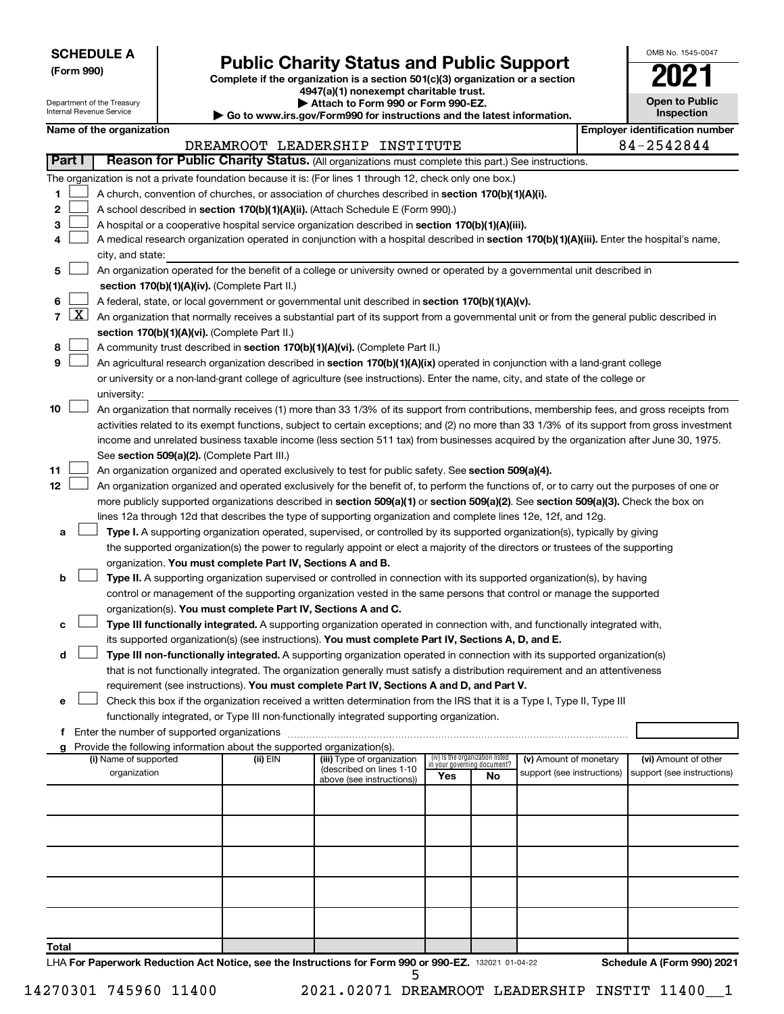Department of the Treasury Internal Revenue Service

# Form 990)<br>
Complete if the organization is a section 501(c)(3) organization or a section<br> **Public Charity Status and Public Support**

**4947(a)(1) nonexempt charitable trust.**

**| Attach to Form 990 or Form 990-EZ. | Go to www.irs.gov/Form990 for instructions and the latest information.**

| <b>Open to Public</b><br>Inspection |  |
|-------------------------------------|--|

OMB No. 1545-0047

|              |        | Name of the organization                                                                                                                          |          |                                |                                    |    |                            |  | <b>Employer identification number</b> |  |
|--------------|--------|---------------------------------------------------------------------------------------------------------------------------------------------------|----------|--------------------------------|------------------------------------|----|----------------------------|--|---------------------------------------|--|
|              | Part I |                                                                                                                                                   |          | DREAMROOT LEADERSHIP INSTITUTE |                                    |    |                            |  | 84-2542844                            |  |
|              |        | Reason for Public Charity Status. (All organizations must complete this part.) See instructions.                                                  |          |                                |                                    |    |                            |  |                                       |  |
|              |        | The organization is not a private foundation because it is: (For lines 1 through 12, check only one box.)                                         |          |                                |                                    |    |                            |  |                                       |  |
| 1.           |        | A church, convention of churches, or association of churches described in section 170(b)(1)(A)(i).                                                |          |                                |                                    |    |                            |  |                                       |  |
| 2            |        | A school described in section 170(b)(1)(A)(ii). (Attach Schedule E (Form 990).)                                                                   |          |                                |                                    |    |                            |  |                                       |  |
| 3.           |        | A hospital or a cooperative hospital service organization described in section 170(b)(1)(A)(iii).                                                 |          |                                |                                    |    |                            |  |                                       |  |
| 4            |        | A medical research organization operated in conjunction with a hospital described in section 170(b)(1)(A)(iii). Enter the hospital's name,        |          |                                |                                    |    |                            |  |                                       |  |
|              |        | city, and state:                                                                                                                                  |          |                                |                                    |    |                            |  |                                       |  |
| 5.           |        | An organization operated for the benefit of a college or university owned or operated by a governmental unit described in                         |          |                                |                                    |    |                            |  |                                       |  |
|              |        | section 170(b)(1)(A)(iv). (Complete Part II.)                                                                                                     |          |                                |                                    |    |                            |  |                                       |  |
| 6.           |        | A federal, state, or local government or governmental unit described in section 170(b)(1)(A)(v).                                                  |          |                                |                                    |    |                            |  |                                       |  |
|              |        | 7 $ X $ An organization that normally receives a substantial part of its support from a governmental unit or from the general public described in |          |                                |                                    |    |                            |  |                                       |  |
|              |        | section 170(b)(1)(A)(vi). (Complete Part II.)                                                                                                     |          |                                |                                    |    |                            |  |                                       |  |
| 8            |        | A community trust described in section 170(b)(1)(A)(vi). (Complete Part II.)                                                                      |          |                                |                                    |    |                            |  |                                       |  |
| 9            |        | An agricultural research organization described in section 170(b)(1)(A)(ix) operated in conjunction with a land-grant college                     |          |                                |                                    |    |                            |  |                                       |  |
|              |        | or university or a non-land-grant college of agriculture (see instructions). Enter the name, city, and state of the college or                    |          |                                |                                    |    |                            |  |                                       |  |
|              |        | university:                                                                                                                                       |          |                                |                                    |    |                            |  |                                       |  |
| 10           |        | An organization that normally receives (1) more than 33 1/3% of its support from contributions, membership fees, and gross receipts from          |          |                                |                                    |    |                            |  |                                       |  |
|              |        | activities related to its exempt functions, subject to certain exceptions; and (2) no more than 33 1/3% of its support from gross investment      |          |                                |                                    |    |                            |  |                                       |  |
|              |        | income and unrelated business taxable income (less section 511 tax) from businesses acquired by the organization after June 30, 1975.             |          |                                |                                    |    |                            |  |                                       |  |
|              |        | See section 509(a)(2). (Complete Part III.)                                                                                                       |          |                                |                                    |    |                            |  |                                       |  |
| 11           |        | An organization organized and operated exclusively to test for public safety. See section 509(a)(4).                                              |          |                                |                                    |    |                            |  |                                       |  |
| 12           |        | An organization organized and operated exclusively for the benefit of, to perform the functions of, or to carry out the purposes of one or        |          |                                |                                    |    |                            |  |                                       |  |
|              |        | more publicly supported organizations described in section 509(a)(1) or section 509(a)(2). See section 509(a)(3). Check the box on                |          |                                |                                    |    |                            |  |                                       |  |
|              |        | lines 12a through 12d that describes the type of supporting organization and complete lines 12e, 12f, and 12g.                                    |          |                                |                                    |    |                            |  |                                       |  |
| а            |        | Type I. A supporting organization operated, supervised, or controlled by its supported organization(s), typically by giving                       |          |                                |                                    |    |                            |  |                                       |  |
|              |        | the supported organization(s) the power to regularly appoint or elect a majority of the directors or trustees of the supporting                   |          |                                |                                    |    |                            |  |                                       |  |
|              |        | organization. You must complete Part IV, Sections A and B.                                                                                        |          |                                |                                    |    |                            |  |                                       |  |
| b            |        | Type II. A supporting organization supervised or controlled in connection with its supported organization(s), by having                           |          |                                |                                    |    |                            |  |                                       |  |
|              |        | control or management of the supporting organization vested in the same persons that control or manage the supported                              |          |                                |                                    |    |                            |  |                                       |  |
|              |        | organization(s). You must complete Part IV, Sections A and C.                                                                                     |          |                                |                                    |    |                            |  |                                       |  |
| с            |        | Type III functionally integrated. A supporting organization operated in connection with, and functionally integrated with,                        |          |                                |                                    |    |                            |  |                                       |  |
|              |        | its supported organization(s) (see instructions). You must complete Part IV, Sections A, D, and E.                                                |          |                                |                                    |    |                            |  |                                       |  |
| d            |        | Type III non-functionally integrated. A supporting organization operated in connection with its supported organization(s)                         |          |                                |                                    |    |                            |  |                                       |  |
|              |        | that is not functionally integrated. The organization generally must satisfy a distribution requirement and an attentiveness                      |          |                                |                                    |    |                            |  |                                       |  |
|              |        | requirement (see instructions). You must complete Part IV, Sections A and D, and Part V.                                                          |          |                                |                                    |    |                            |  |                                       |  |
|              |        | Check this box if the organization received a written determination from the IRS that it is a Type I, Type II, Type III                           |          |                                |                                    |    |                            |  |                                       |  |
|              |        | functionally integrated, or Type III non-functionally integrated supporting organization.                                                         |          |                                |                                    |    |                            |  |                                       |  |
|              |        | f Enter the number of supported organizations                                                                                                     |          |                                |                                    |    |                            |  |                                       |  |
|              |        | g Provide the following information about the supported organization(s).<br>(i) Name of supported                                                 | (ii) EIN | (iii) Type of organization     | (iv) Is the organization listed    |    | (v) Amount of monetary     |  | (vi) Amount of other                  |  |
|              |        | organization                                                                                                                                      |          | (described on lines 1-10       | in your governing document?<br>Yes | No | support (see instructions) |  | support (see instructions)            |  |
|              |        |                                                                                                                                                   |          | above (see instructions))      |                                    |    |                            |  |                                       |  |
|              |        |                                                                                                                                                   |          |                                |                                    |    |                            |  |                                       |  |
|              |        |                                                                                                                                                   |          |                                |                                    |    |                            |  |                                       |  |
|              |        |                                                                                                                                                   |          |                                |                                    |    |                            |  |                                       |  |
|              |        |                                                                                                                                                   |          |                                |                                    |    |                            |  |                                       |  |
|              |        |                                                                                                                                                   |          |                                |                                    |    |                            |  |                                       |  |
|              |        |                                                                                                                                                   |          |                                |                                    |    |                            |  |                                       |  |
|              |        |                                                                                                                                                   |          |                                |                                    |    |                            |  |                                       |  |
|              |        |                                                                                                                                                   |          |                                |                                    |    |                            |  |                                       |  |
| <b>Total</b> |        |                                                                                                                                                   |          |                                |                                    |    |                            |  |                                       |  |
|              |        |                                                                                                                                                   |          |                                |                                    |    |                            |  |                                       |  |

5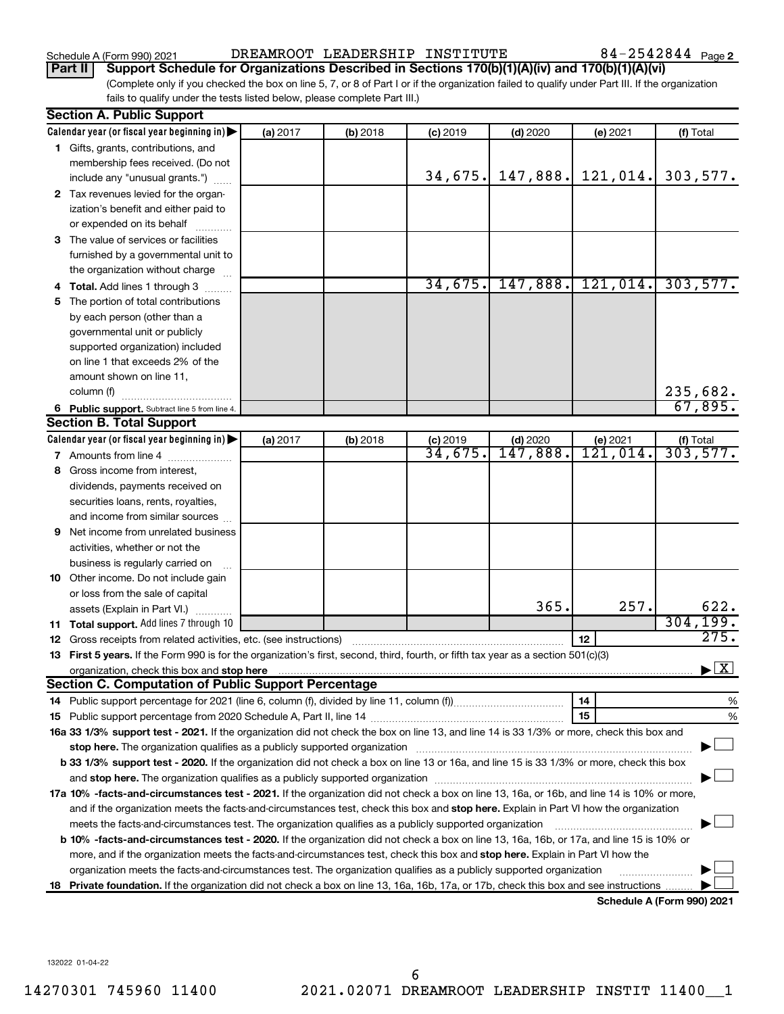|   | Schedule A (Form 990) 2021                                                                                                                      |          |          | DREAMROOT LEADERSHIP INSTITUTE |            |          | 84-2542844 Page 2 |
|---|-------------------------------------------------------------------------------------------------------------------------------------------------|----------|----------|--------------------------------|------------|----------|-------------------|
|   | Support Schedule for Organizations Described in Sections 170(b)(1)(A)(iv) and 170(b)(1)(A)(vi)<br><b>Part II</b>                                |          |          |                                |            |          |                   |
|   | (Complete only if you checked the box on line 5, 7, or 8 of Part I or if the organization failed to qualify under Part III. If the organization |          |          |                                |            |          |                   |
|   | fails to qualify under the tests listed below, please complete Part III.)                                                                       |          |          |                                |            |          |                   |
|   | <b>Section A. Public Support</b>                                                                                                                |          |          |                                |            |          |                   |
|   | Calendar year (or fiscal year beginning in)                                                                                                     | (a) 2017 | (b) 2018 | $(c)$ 2019                     | $(d)$ 2020 | (e) 2021 | (f) Total         |
|   | 1 Gifts, grants, contributions, and                                                                                                             |          |          |                                |            |          |                   |
|   | membership fees received. (Do not                                                                                                               |          |          |                                |            |          |                   |
|   | include any "unusual grants.")                                                                                                                  |          |          | 34,675.                        | 147,888.   | 121,014. | 303,577.          |
|   | 2 Tax revenues levied for the organ-                                                                                                            |          |          |                                |            |          |                   |
|   | ization's benefit and either paid to                                                                                                            |          |          |                                |            |          |                   |
|   | or expended on its behalf                                                                                                                       |          |          |                                |            |          |                   |
|   | 3 The value of services or facilities                                                                                                           |          |          |                                |            |          |                   |
|   | furnished by a governmental unit to                                                                                                             |          |          |                                |            |          |                   |
|   | the organization without charge                                                                                                                 |          |          |                                |            |          |                   |
|   | 4 Total. Add lines 1 through 3                                                                                                                  |          |          | 34,675.                        | 147,888.   | 121,014. | 303,577.          |
|   | 5 The portion of total contributions                                                                                                            |          |          |                                |            |          |                   |
|   | by each person (other than a                                                                                                                    |          |          |                                |            |          |                   |
|   | governmental unit or publicly                                                                                                                   |          |          |                                |            |          |                   |
|   | supported organization) included                                                                                                                |          |          |                                |            |          |                   |
|   | on line 1 that exceeds 2% of the                                                                                                                |          |          |                                |            |          |                   |
|   | amount shown on line 11,                                                                                                                        |          |          |                                |            |          |                   |
|   | column (f)                                                                                                                                      |          |          |                                |            |          | 235,682.          |
|   | 6 Public support. Subtract line 5 from line 4.                                                                                                  |          |          |                                |            |          | 67,895.           |
|   | <b>Section B. Total Support</b>                                                                                                                 |          |          |                                |            |          |                   |
|   | Calendar year (or fiscal year beginning in)                                                                                                     | (a) 2017 | (b) 2018 | $(c)$ 2019                     | $(d)$ 2020 | (e) 2021 | (f) Total         |
|   | 7 Amounts from line 4                                                                                                                           |          |          | 34,675.                        | 147,888.   | 121,014. | 303,577.          |
|   | 8 Gross income from interest,                                                                                                                   |          |          |                                |            |          |                   |
|   | dividends, payments received on                                                                                                                 |          |          |                                |            |          |                   |
|   | securities loans, rents, royalties,                                                                                                             |          |          |                                |            |          |                   |
|   | and income from similar sources                                                                                                                 |          |          |                                |            |          |                   |
| 9 | Net income from unrelated business                                                                                                              |          |          |                                |            |          |                   |
|   | activities, whether or not the                                                                                                                  |          |          |                                |            |          |                   |
|   | business is regularly carried on                                                                                                                |          |          |                                |            |          |                   |

| <b>10</b> Other income. Do not include gain |
|---------------------------------------------|
| or loss from the sale of capital            |
| consta $($                                  |

| <b>10</b> Other income. Do not include gain |  |  |
|---------------------------------------------|--|--|
| or loss from the sale of capital            |  |  |
| assets (Explain in Part VI.)                |  |  |
| 11 Total support. Add lines 7 through 10    |  |  |

| .                                                                                                                                  |  |  |    |  |  |
|------------------------------------------------------------------------------------------------------------------------------------|--|--|----|--|--|
| <b>12</b> Gross receipts from related activities, etc. (see instructions)                                                          |  |  | 12 |  |  |
| 13 First 5 years. If the Form 990 is for the organization's first, second, third, fourth, or fifth tax year as a section 501(c)(3) |  |  |    |  |  |
| organization, check this box and <b>stop here</b>                                                                                  |  |  |    |  |  |
| <b>Section C. Computation of Public Support Percentage</b>                                                                         |  |  |    |  |  |

| 14 Public support percentage for 2021 (line 6, column (f), divided by line 11, column (f)                                                  | 14 | % |
|--------------------------------------------------------------------------------------------------------------------------------------------|----|---|
| 15 Public support percentage from 2020 Schedule A, Part II, line 14                                                                        | 15 | % |
| 16a 33 1/3% support test - 2021. If the organization did not check the box on line 13, and line 14 is 33 1/3% or more, check this box and  |    |   |
| stop here. The organization qualifies as a publicly supported organization                                                                 |    |   |
| b 33 1/3% support test - 2020. If the organization did not check a box on line 13 or 16a, and line 15 is 33 1/3% or more, check this box   |    |   |
| and stop here. The organization qualifies as a publicly supported organization                                                             |    |   |
| 17a 10% -facts-and-circumstances test - 2021. If the organization did not check a box on line 13, 16a, or 16b, and line 14 is 10% or more, |    |   |
| and if the organization meets the facts-and-circumstances test, check this box and stop here. Explain in Part VI how the organization      |    |   |
| meets the facts-and-circumstances test. The organization qualifies as a publicly supported organization                                    |    |   |

**b 10% -facts-and-circumstances test - 2020.** If the organization did not check a box on line 13, 16a, 16b, or 17a, and line 15 is 10% or more, and if the organization meets the facts-and-circumstances test, check this box and **stop here.** Explain in Part VI how the organization meets the facts-and-circumstances test. The organization qualifies as a publicly supported organization  $\ldots$ 

18 Private foundation. If the organization did not check a box on line 13, 16a, 16b, 17a, or 17b, check this box and see instructions .........

**Schedule A (Form 990) 2021**

365. 257. 622.

 $\cdot$   $\boxed{\text{X}}$ 

275.

304,199.

† †

132022 01-04-22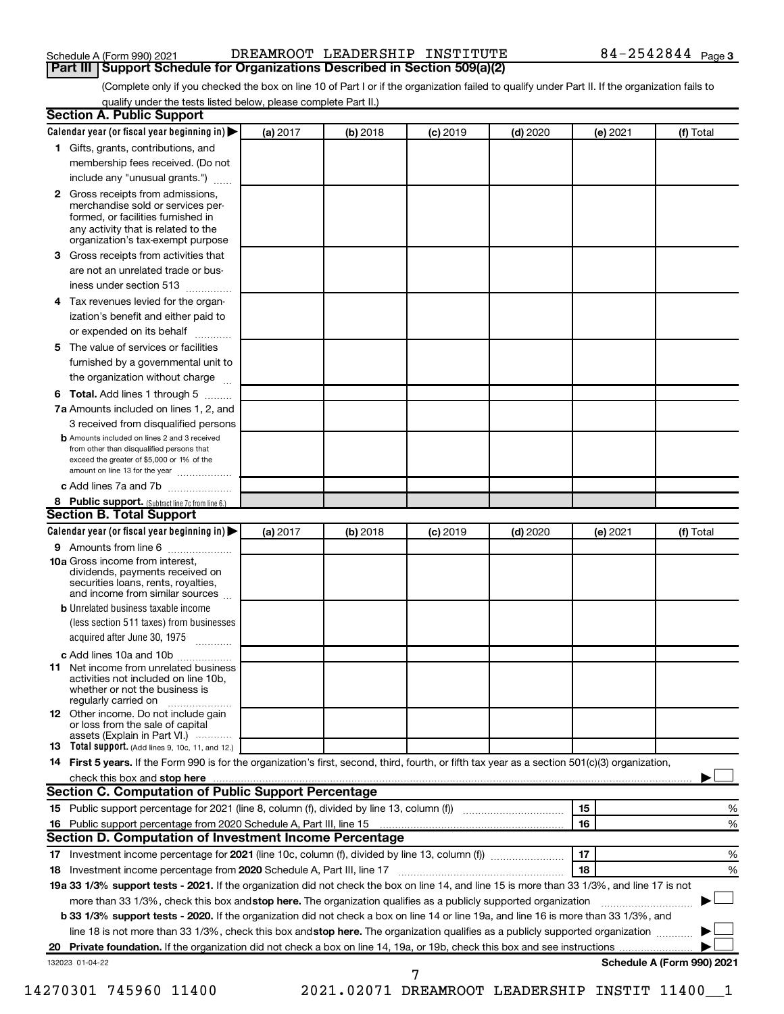| Schedule A (Form 990) 2021 |  |  |
|----------------------------|--|--|
|----------------------------|--|--|

#### Schedule A (Form 990) 2021 DREAMROOT LEADERSHIP INSTITUTE  $84-2542844$   $_{\rm Page}$ **Part III Support Schedule for Organizations Described in Section 509(a)(2)**

(Complete only if you checked the box on line 10 of Part I or if the organization failed to qualify under Part II. If the organization fails to qualify under the tests listed below, please complete Part II.)

|                 | Calendar year (or fiscal year beginning in)                                                                                                                                                                                                                                     | (a) 2017 | (b) 2018                                     | $(c)$ 2019 | $(d)$ 2020 |    | (e) 2021 | (f) Total                  |   |
|-----------------|---------------------------------------------------------------------------------------------------------------------------------------------------------------------------------------------------------------------------------------------------------------------------------|----------|----------------------------------------------|------------|------------|----|----------|----------------------------|---|
|                 | 1 Gifts, grants, contributions, and                                                                                                                                                                                                                                             |          |                                              |            |            |    |          |                            |   |
|                 | membership fees received. (Do not                                                                                                                                                                                                                                               |          |                                              |            |            |    |          |                            |   |
|                 | include any "unusual grants.")                                                                                                                                                                                                                                                  |          |                                              |            |            |    |          |                            |   |
| $\mathbf{2}$    | Gross receipts from admissions,<br>merchandise sold or services per-<br>formed, or facilities furnished in<br>any activity that is related to the<br>organization's tax-exempt purpose                                                                                          |          |                                              |            |            |    |          |                            |   |
| 3.              | Gross receipts from activities that                                                                                                                                                                                                                                             |          |                                              |            |            |    |          |                            |   |
|                 | are not an unrelated trade or bus-                                                                                                                                                                                                                                              |          |                                              |            |            |    |          |                            |   |
|                 | iness under section 513                                                                                                                                                                                                                                                         |          |                                              |            |            |    |          |                            |   |
| 4               | Tax revenues levied for the organ-                                                                                                                                                                                                                                              |          |                                              |            |            |    |          |                            |   |
|                 | ization's benefit and either paid to<br>or expended on its behalf<br>.                                                                                                                                                                                                          |          |                                              |            |            |    |          |                            |   |
| 5               | The value of services or facilities                                                                                                                                                                                                                                             |          |                                              |            |            |    |          |                            |   |
|                 | furnished by a governmental unit to<br>the organization without charge                                                                                                                                                                                                          |          |                                              |            |            |    |          |                            |   |
| 6               | Total. Add lines 1 through 5                                                                                                                                                                                                                                                    |          |                                              |            |            |    |          |                            |   |
|                 | 7a Amounts included on lines 1, 2, and                                                                                                                                                                                                                                          |          |                                              |            |            |    |          |                            |   |
|                 | 3 received from disqualified persons                                                                                                                                                                                                                                            |          |                                              |            |            |    |          |                            |   |
|                 | <b>b</b> Amounts included on lines 2 and 3 received                                                                                                                                                                                                                             |          |                                              |            |            |    |          |                            |   |
|                 | from other than disqualified persons that<br>exceed the greater of \$5,000 or 1% of the<br>amount on line 13 for the year                                                                                                                                                       |          |                                              |            |            |    |          |                            |   |
|                 | c Add lines 7a and 7b                                                                                                                                                                                                                                                           |          |                                              |            |            |    |          |                            |   |
|                 | 8 Public support. (Subtract line 7c from line 6.)                                                                                                                                                                                                                               |          |                                              |            |            |    |          |                            |   |
|                 | <b>Section B. Total Support</b>                                                                                                                                                                                                                                                 |          |                                              |            |            |    |          |                            |   |
|                 | Calendar year (or fiscal year beginning in)                                                                                                                                                                                                                                     | (a) 2017 | (b) 2018                                     | $(c)$ 2019 | $(d)$ 2020 |    | (e) 2021 | (f) Total                  |   |
|                 | 9 Amounts from line 6                                                                                                                                                                                                                                                           |          |                                              |            |            |    |          |                            |   |
|                 | <b>10a</b> Gross income from interest,<br>dividends, payments received on<br>securities loans, rents, royalties,<br>and income from similar sources                                                                                                                             |          |                                              |            |            |    |          |                            |   |
|                 | <b>b</b> Unrelated business taxable income                                                                                                                                                                                                                                      |          |                                              |            |            |    |          |                            |   |
|                 | (less section 511 taxes) from businesses<br>acquired after June 30, 1975                                                                                                                                                                                                        |          |                                              |            |            |    |          |                            |   |
|                 | c Add lines 10a and 10b                                                                                                                                                                                                                                                         |          |                                              |            |            |    |          |                            |   |
| 11              | Net income from unrelated business<br>activities not included on line 10b.<br>whether or not the business is<br>regularly carried on                                                                                                                                            |          |                                              |            |            |    |          |                            |   |
|                 | <b>12</b> Other income. Do not include gain<br>or loss from the sale of capital<br>assets (Explain in Part VI.)                                                                                                                                                                 |          |                                              |            |            |    |          |                            |   |
|                 | <b>13</b> Total support. (Add lines 9, 10c, 11, and 12.)                                                                                                                                                                                                                        |          |                                              |            |            |    |          |                            |   |
|                 | 14 First 5 years. If the Form 990 is for the organization's first, second, third, fourth, or fifth tax year as a section 501(c)(3) organization,                                                                                                                                |          |                                              |            |            |    |          |                            |   |
|                 |                                                                                                                                                                                                                                                                                 |          |                                              |            |            |    |          |                            |   |
|                 | <b>Section C. Computation of Public Support Percentage</b>                                                                                                                                                                                                                      |          |                                              |            |            |    |          |                            |   |
|                 |                                                                                                                                                                                                                                                                                 |          |                                              |            |            | 15 |          |                            | % |
|                 |                                                                                                                                                                                                                                                                                 |          |                                              |            |            | 16 |          |                            | % |
|                 | Section D. Computation of Investment Income Percentage                                                                                                                                                                                                                          |          |                                              |            |            |    |          |                            |   |
|                 |                                                                                                                                                                                                                                                                                 |          |                                              |            |            | 17 |          |                            | % |
|                 |                                                                                                                                                                                                                                                                                 |          |                                              |            |            | 18 |          |                            | % |
|                 | 19a 33 1/3% support tests - 2021. If the organization did not check the box on line 14, and line 15 is more than 33 1/3%, and line 17 is not                                                                                                                                    |          |                                              |            |            |    |          |                            |   |
|                 | more than 33 1/3%, check this box and stop here. The organization qualifies as a publicly supported organization                                                                                                                                                                |          |                                              |            |            |    |          |                            |   |
|                 | <b>b 33 1/3% support tests - 2020.</b> If the organization did not check a box on line 14 or line 19a, and line 16 is more than 33 1/3%, and<br>line 18 is not more than 33 1/3%, check this box and stop here. The organization qualifies as a publicly supported organization |          |                                              |            |            |    |          |                            |   |
|                 |                                                                                                                                                                                                                                                                                 |          |                                              |            |            |    |          |                            |   |
|                 |                                                                                                                                                                                                                                                                                 |          |                                              |            |            |    |          | Schedule A (Form 990) 2021 |   |
| 132023 01-04-22 |                                                                                                                                                                                                                                                                                 |          |                                              | 7          |            |    |          |                            |   |
|                 | 14270301 745960 11400                                                                                                                                                                                                                                                           |          | 2021.02071 DREAMROOT LEADERSHIP INSTIT 11400 |            |            |    |          |                            |   |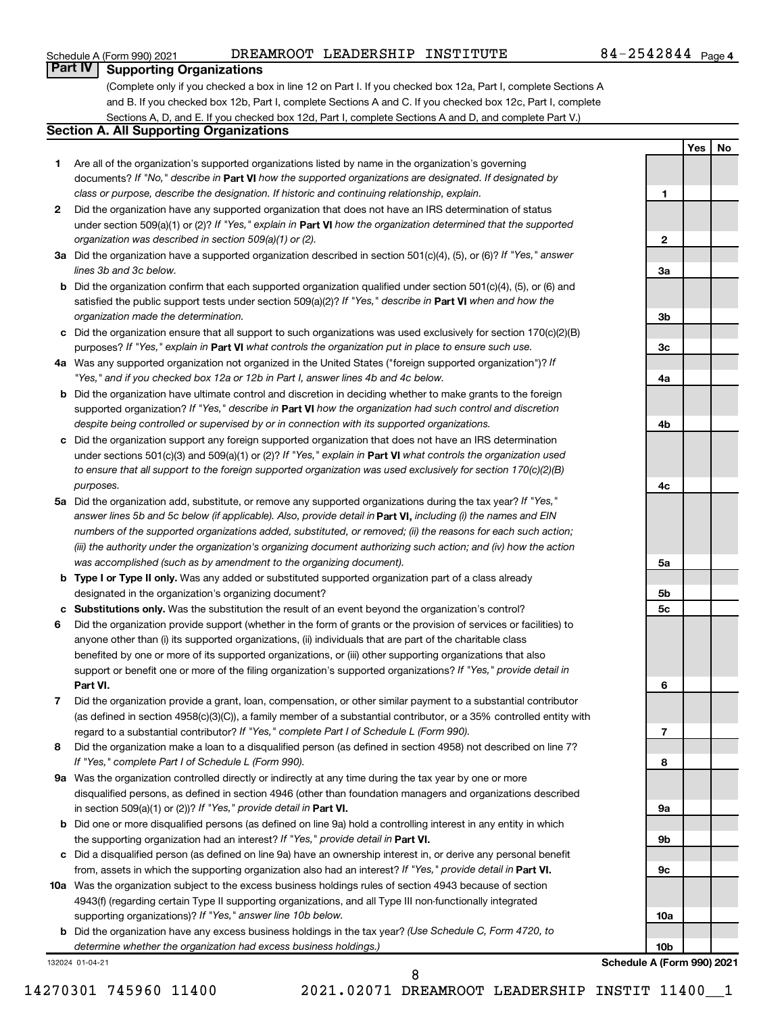## Schedule A (Form 990) 2021 DREAMROOT LEADERSHIP INSTITUTE  $84-2542844$   $_{\rm Page}$

**1**

**2**

**3a**

**3b**

**3c**

**4a**

**4b**

**Yes No**

## **Part IV Supporting Organizations**

(Complete only if you checked a box in line 12 on Part I. If you checked box 12a, Part I, complete Sections A and B. If you checked box 12b, Part I, complete Sections A and C. If you checked box 12c, Part I, complete Sections A, D, and E. If you checked box 12d, Part I, complete Sections A and D, and complete Part V.)

## **Section A. All Supporting Organizations**

- **1** Are all of the organization's supported organizations listed by name in the organization's governing documents? If "No," describe in Part VI how the supported organizations are designated. If designated by *class or purpose, describe the designation. If historic and continuing relationship, explain.*
- **2** Did the organization have any supported organization that does not have an IRS determination of status under section 509(a)(1) or (2)? If "Yes," explain in Part **VI** how the organization determined that the supported *organization was described in section 509(a)(1) or (2).*
- **3a** Did the organization have a supported organization described in section 501(c)(4), (5), or (6)? If "Yes," answer *lines 3b and 3c below.*
- **b** Did the organization confirm that each supported organization qualified under section 501(c)(4), (5), or (6) and satisfied the public support tests under section 509(a)(2)? If "Yes," describe in Part VI when and how the *organization made the determination.*
- **c** Did the organization ensure that all support to such organizations was used exclusively for section 170(c)(2)(B) purposes? If "Yes," explain in Part VI what controls the organization put in place to ensure such use.
- **4 a** *If* Was any supported organization not organized in the United States ("foreign supported organization")? *"Yes," and if you checked box 12a or 12b in Part I, answer lines 4b and 4c below.*
- **b** Did the organization have ultimate control and discretion in deciding whether to make grants to the foreign supported organization? If "Yes," describe in Part VI how the organization had such control and discretion *despite being controlled or supervised by or in connection with its supported organizations.*
- **c** Did the organization support any foreign supported organization that does not have an IRS determination under sections 501(c)(3) and 509(a)(1) or (2)? If "Yes," explain in Part VI what controls the organization used *to ensure that all support to the foreign supported organization was used exclusively for section 170(c)(2)(B) purposes.*
- **5a** Did the organization add, substitute, or remove any supported organizations during the tax year? If "Yes," answer lines 5b and 5c below (if applicable). Also, provide detail in **Part VI,** including (i) the names and EIN *numbers of the supported organizations added, substituted, or removed; (ii) the reasons for each such action; (iii) the authority under the organization's organizing document authorizing such action; and (iv) how the action was accomplished (such as by amendment to the organizing document).*
- **b** Type I or Type II only. Was any added or substituted supported organization part of a class already designated in the organization's organizing document?
- **c Substitutions only.**  Was the substitution the result of an event beyond the organization's control?
- **6** Did the organization provide support (whether in the form of grants or the provision of services or facilities) to **Part VI.** support or benefit one or more of the filing organization's supported organizations? If "Yes," provide detail in anyone other than (i) its supported organizations, (ii) individuals that are part of the charitable class benefited by one or more of its supported organizations, or (iii) other supporting organizations that also
- **7** Did the organization provide a grant, loan, compensation, or other similar payment to a substantial contributor regard to a substantial contributor? If "Yes," complete Part I of Schedule L (Form 990). (as defined in section 4958(c)(3)(C)), a family member of a substantial contributor, or a 35% controlled entity with
- **8** Did the organization make a loan to a disqualified person (as defined in section 4958) not described on line 7? *If "Yes," complete Part I of Schedule L (Form 990).*
- **9 a** Was the organization controlled directly or indirectly at any time during the tax year by one or more in section 509(a)(1) or (2))? If "Yes," provide detail in **Part VI.** disqualified persons, as defined in section 4946 (other than foundation managers and organizations described
- **b** Did one or more disqualified persons (as defined on line 9a) hold a controlling interest in any entity in which the supporting organization had an interest? If "Yes," provide detail in Part VI.
- **c** Did a disqualified person (as defined on line 9a) have an ownership interest in, or derive any personal benefit from, assets in which the supporting organization also had an interest? If "Yes," provide detail in Part VI.
- **10 a** Was the organization subject to the excess business holdings rules of section 4943 because of section supporting organizations)? If "Yes," answer line 10b below. 4943(f) (regarding certain Type II supporting organizations, and all Type III non-functionally integrated
	- **b** Did the organization have any excess business holdings in the tax year? (Use Schedule C, Form 4720, to *determine whether the organization had excess business holdings.)*

132024 01-04-21

14270301 745960 11400 2021.02071 DREAMROOT LEADERSHIP INSTIT 11400\_\_1

**4c 5a 5b 5c 6 7 8 9a 9b 9c 10a 10b Schedule A (Form 990) 2021**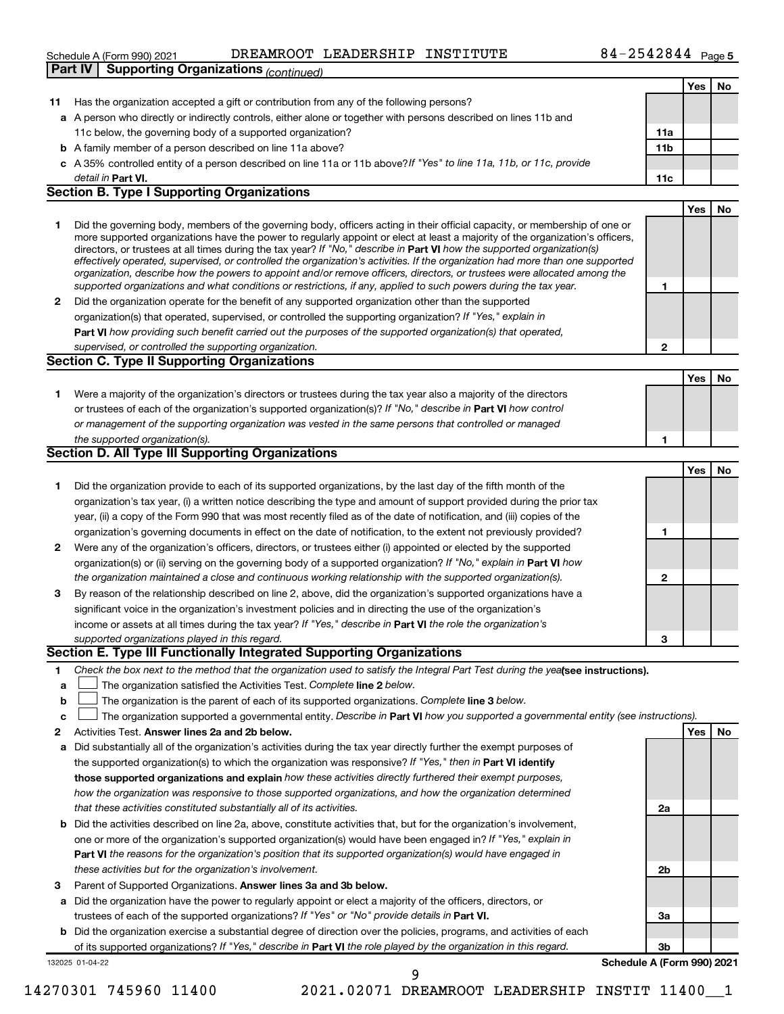|              | DREAMROOT LEADERSHIP INSTITUTE<br>Schedule A (Form 990) 2021                                                                                                                                                                                                | 84-2542844 Page 5 |            |     |
|--------------|-------------------------------------------------------------------------------------------------------------------------------------------------------------------------------------------------------------------------------------------------------------|-------------------|------------|-----|
|              | <b>Part IV   Supporting Organizations (Continued)</b>                                                                                                                                                                                                       |                   |            |     |
|              |                                                                                                                                                                                                                                                             |                   | Yes        | No  |
| 11           | Has the organization accepted a gift or contribution from any of the following persons?                                                                                                                                                                     |                   |            |     |
|              | a A person who directly or indirectly controls, either alone or together with persons described on lines 11b and                                                                                                                                            |                   |            |     |
|              | 11c below, the governing body of a supported organization?                                                                                                                                                                                                  | 11a               |            |     |
|              | <b>b</b> A family member of a person described on line 11a above?                                                                                                                                                                                           | 11b               |            |     |
|              | c A 35% controlled entity of a person described on line 11a or 11b above?If "Yes" to line 11a, 11b, or 11c, provide                                                                                                                                         |                   |            |     |
|              | detail in Part VI.                                                                                                                                                                                                                                          | 11c               |            |     |
|              | <b>Section B. Type I Supporting Organizations</b>                                                                                                                                                                                                           |                   |            |     |
|              |                                                                                                                                                                                                                                                             |                   | <b>Yes</b> | No. |
| 1            | Did the governing body, members of the governing body, officers acting in their official capacity, or membership of one or<br>more supported organizations have the power to regularly appoint or elect at least a majority of the organization's officers, |                   |            |     |
|              | directors, or trustees at all times during the tax year? If "No," describe in Part VI how the supported organization(s)                                                                                                                                     |                   |            |     |
|              | effectively operated, supervised, or controlled the organization's activities. If the organization had more than one supported                                                                                                                              |                   |            |     |
|              | organization, describe how the powers to appoint and/or remove officers, directors, or trustees were allocated among the                                                                                                                                    |                   |            |     |
|              | supported organizations and what conditions or restrictions, if any, applied to such powers during the tax year.                                                                                                                                            | 1                 |            |     |
| $\mathbf{2}$ | Did the organization operate for the benefit of any supported organization other than the supported                                                                                                                                                         |                   |            |     |
|              | organization(s) that operated, supervised, or controlled the supporting organization? If "Yes," explain in                                                                                                                                                  |                   |            |     |
|              | Part VI how providing such benefit carried out the purposes of the supported organization(s) that operated,                                                                                                                                                 |                   |            |     |
|              | supervised, or controlled the supporting organization.<br>Section C. Type II Supporting Organizations                                                                                                                                                       | 2                 |            |     |
|              |                                                                                                                                                                                                                                                             |                   |            |     |
|              |                                                                                                                                                                                                                                                             |                   | Yes        | No  |
| 1            | Were a majority of the organization's directors or trustees during the tax year also a majority of the directors                                                                                                                                            |                   |            |     |
|              | or trustees of each of the organization's supported organization(s)? If "No," describe in Part VI how control                                                                                                                                               |                   |            |     |
|              | or management of the supporting organization was vested in the same persons that controlled or managed                                                                                                                                                      |                   |            |     |
|              | the supported organization(s).<br><b>Section D. All Type III Supporting Organizations</b>                                                                                                                                                                   | 1                 |            |     |
|              |                                                                                                                                                                                                                                                             |                   |            |     |
|              |                                                                                                                                                                                                                                                             |                   | Yes        | No  |
| 1            | Did the organization provide to each of its supported organizations, by the last day of the fifth month of the                                                                                                                                              |                   |            |     |
|              | organization's tax year, (i) a written notice describing the type and amount of support provided during the prior tax                                                                                                                                       |                   |            |     |
|              | year, (ii) a copy of the Form 990 that was most recently filed as of the date of notification, and (iii) copies of the                                                                                                                                      |                   |            |     |
|              | organization's governing documents in effect on the date of notification, to the extent not previously provided?                                                                                                                                            | 1                 |            |     |
| 2            | Were any of the organization's officers, directors, or trustees either (i) appointed or elected by the supported                                                                                                                                            |                   |            |     |
|              | organization(s) or (ii) serving on the governing body of a supported organization? If "No," explain in Part VI how                                                                                                                                          |                   |            |     |
|              | the organization maintained a close and continuous working relationship with the supported organization(s).                                                                                                                                                 | 2                 |            |     |
| 3            | By reason of the relationship described on line 2, above, did the organization's supported organizations have a                                                                                                                                             |                   |            |     |
|              | significant voice in the organization's investment policies and in directing the use of the organization's                                                                                                                                                  |                   |            |     |
|              | income or assets at all times during the tax year? If "Yes," describe in Part VI the role the organization's                                                                                                                                                |                   |            |     |
|              | supported organizations played in this regard.                                                                                                                                                                                                              | 3                 |            |     |
|              | Section E. Type III Functionally Integrated Supporting Organizations                                                                                                                                                                                        |                   |            |     |
| 1            | Check the box next to the method that the organization used to satisfy the Integral Part Test during the yealsee instructions).                                                                                                                             |                   |            |     |
| a            | The organization satisfied the Activities Test. Complete line 2 below.                                                                                                                                                                                      |                   |            |     |
| b            | The organization is the parent of each of its supported organizations. Complete line 3 below.                                                                                                                                                               |                   |            |     |
| c            | The organization supported a governmental entity. Describe in Part VI how you supported a governmental entity (see instructions).                                                                                                                           |                   |            |     |
| 2            | Activities Test. Answer lines 2a and 2b below.                                                                                                                                                                                                              |                   | Yes        | No  |
| а            | Did substantially all of the organization's activities during the tax year directly further the exempt purposes of                                                                                                                                          |                   |            |     |

- the supported organization(s) to which the organization was responsive? If "Yes," then in Part VI identify **those supported organizations and explain**  *how these activities directly furthered their exempt purposes, how the organization was responsive to those supported organizations, and how the organization determined that these activities constituted substantially all of its activities.*
- **b** Did the activities described on line 2a, above, constitute activities that, but for the organization's involvement, **Part VI**  *the reasons for the organization's position that its supported organization(s) would have engaged in* one or more of the organization's supported organization(s) would have been engaged in? If "Yes," explain in *these activities but for the organization's involvement.*
- 3 Parent of Supported Organizations. Answer lines 3a and 3b below.
- **a** Did the organization have the power to regularly appoint or elect a majority of the officers, directors, or trustees of each of the supported organizations? If "Yes" or "No" provide details in Part VI.
- **b** Did the organization exercise a substantial degree of direction over the policies, programs, and activities of each of its supported organizations? If "Yes," describe in Part VI the role played by the organization in this regard.

132025 01-04-22

**3b Schedule A (Form 990) 2021**

**2a**

**2b**

**3a**

14270301 745960 11400 2021.02071 DREAMROOT LEADERSHIP INSTIT 11400\_\_1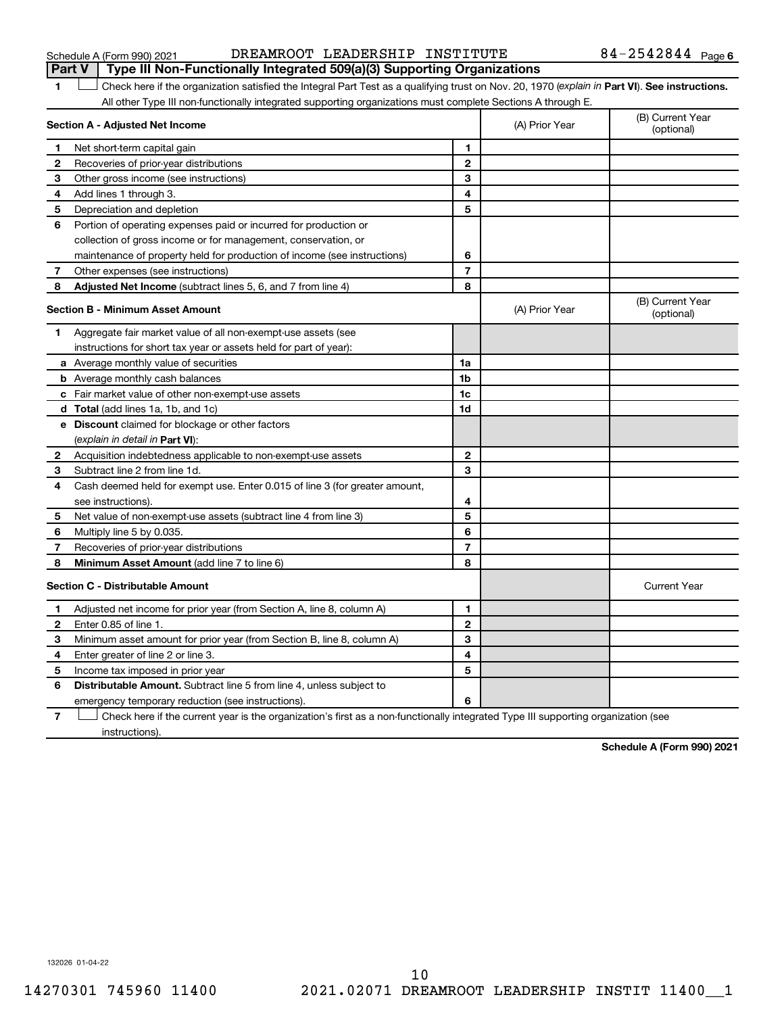| Schedule A (Form 990) 2021 |  |  | DREAMROOT LEADERSHIP INSTITUTE |  | $84 - 2542844$ Page |  |  |
|----------------------------|--|--|--------------------------------|--|---------------------|--|--|
|----------------------------|--|--|--------------------------------|--|---------------------|--|--|

|              | Part V<br>Type III Non-Functionally Integrated 509(a)(3) Supporting Organizations                                                              |                |                |                                |
|--------------|------------------------------------------------------------------------------------------------------------------------------------------------|----------------|----------------|--------------------------------|
| 1            | Check here if the organization satisfied the Integral Part Test as a qualifying trust on Nov. 20, 1970 (explain in Part VI). See instructions. |                |                |                                |
|              | All other Type III non-functionally integrated supporting organizations must complete Sections A through E.                                    |                |                |                                |
|              | Section A - Adjusted Net Income                                                                                                                |                | (A) Prior Year | (B) Current Year<br>(optional) |
| 1            | Net short-term capital gain                                                                                                                    | 1              |                |                                |
| $\mathbf{2}$ | Recoveries of prior-year distributions                                                                                                         | $\mathbf{2}$   |                |                                |
| 3            | Other gross income (see instructions)                                                                                                          | 3              |                |                                |
| 4            | Add lines 1 through 3.                                                                                                                         | 4              |                |                                |
| 5            | Depreciation and depletion                                                                                                                     | 5              |                |                                |
| 6            | Portion of operating expenses paid or incurred for production or                                                                               |                |                |                                |
|              | collection of gross income or for management, conservation, or                                                                                 |                |                |                                |
|              | maintenance of property held for production of income (see instructions)                                                                       | 6              |                |                                |
| 7            | Other expenses (see instructions)                                                                                                              | $\overline{7}$ |                |                                |
| 8            | Adjusted Net Income (subtract lines 5, 6, and 7 from line 4)                                                                                   | 8              |                |                                |
|              | Section B - Minimum Asset Amount                                                                                                               |                | (A) Prior Year | (B) Current Year<br>(optional) |
| 1            | Aggregate fair market value of all non-exempt-use assets (see                                                                                  |                |                |                                |
|              | instructions for short tax year or assets held for part of year):                                                                              |                |                |                                |
|              | <b>a</b> Average monthly value of securities                                                                                                   | 1a             |                |                                |
|              | <b>b</b> Average monthly cash balances                                                                                                         | 1 <sub>b</sub> |                |                                |
|              | c Fair market value of other non-exempt-use assets                                                                                             | 1c             |                |                                |
|              | d Total (add lines 1a, 1b, and 1c)                                                                                                             | 1 <sub>d</sub> |                |                                |
|              | e Discount claimed for blockage or other factors                                                                                               |                |                |                                |
|              | (explain in detail in <b>Part VI</b> ):                                                                                                        |                |                |                                |
| 2            | Acquisition indebtedness applicable to non-exempt-use assets                                                                                   | $\mathbf 2$    |                |                                |
| 3            | Subtract line 2 from line 1d.                                                                                                                  | 3              |                |                                |
| 4            | Cash deemed held for exempt use. Enter 0.015 of line 3 (for greater amount,                                                                    |                |                |                                |
|              | see instructions).                                                                                                                             | 4              |                |                                |
| 5            | Net value of non-exempt-use assets (subtract line 4 from line 3)                                                                               | 5              |                |                                |
| 6            | Multiply line 5 by 0.035.                                                                                                                      | 6              |                |                                |
| 7            | Recoveries of prior-year distributions                                                                                                         | $\overline{7}$ |                |                                |
| 8            | <b>Minimum Asset Amount</b> (add line 7 to line 6)                                                                                             | 8              |                |                                |
|              | <b>Section C - Distributable Amount</b>                                                                                                        |                |                | <b>Current Year</b>            |
| 1            | Adjusted net income for prior year (from Section A, line 8, column A)                                                                          | 1              |                |                                |
| 2            | Enter 0.85 of line 1.                                                                                                                          | $\mathbf{2}$   |                |                                |
| З            | Minimum asset amount for prior year (from Section B, line 8, column A)                                                                         | 3              |                |                                |
| 4            | Enter greater of line 2 or line 3.                                                                                                             | 4              |                |                                |
| 5            | Income tax imposed in prior year                                                                                                               | 5              |                |                                |
| 6            | <b>Distributable Amount.</b> Subtract line 5 from line 4, unless subject to                                                                    |                |                |                                |
|              | emergency temporary reduction (see instructions).                                                                                              | 6              |                |                                |
| 7            | Check here if the current year is the organization's first as a non-functionally integrated Type III supporting organization (see              |                |                |                                |

instructions).

**Schedule A (Form 990) 2021**

132026 01-04-22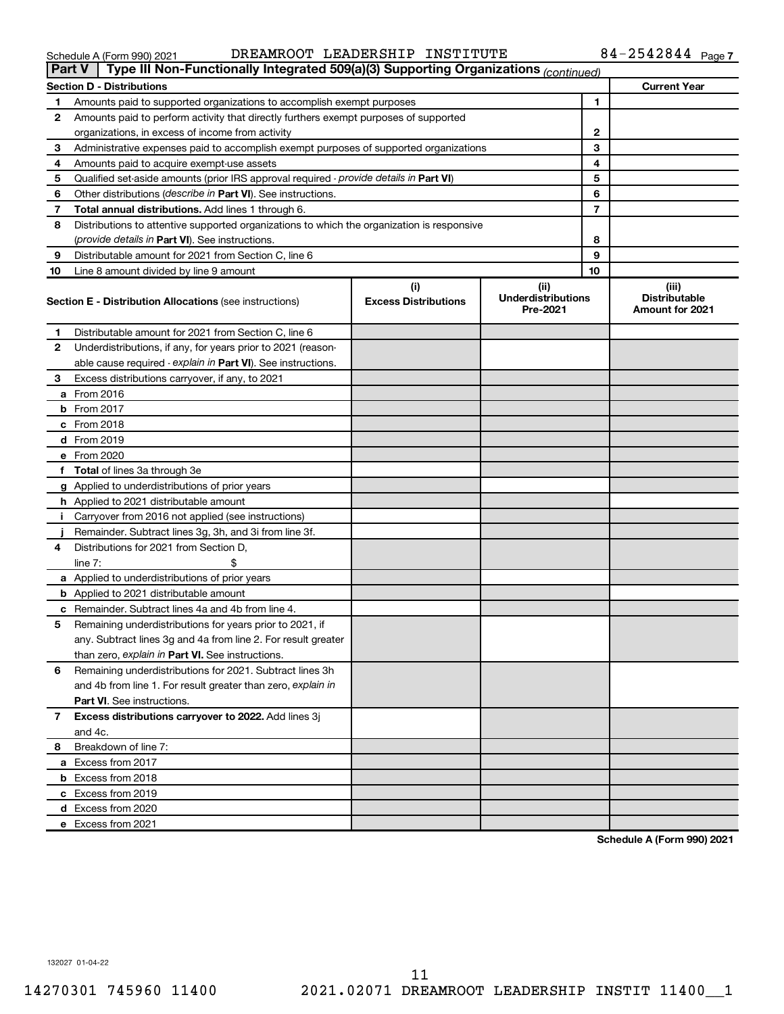| <b>Part V</b> | Type III Non-Functionally Integrated 509(a)(3) Supporting Organizations (continued)        |                             |                                       |    |                                                |
|---------------|--------------------------------------------------------------------------------------------|-----------------------------|---------------------------------------|----|------------------------------------------------|
|               | <b>Section D - Distributions</b>                                                           |                             |                                       |    | <b>Current Year</b>                            |
| 1             | Amounts paid to supported organizations to accomplish exempt purposes                      |                             |                                       | 1  |                                                |
| 2             | Amounts paid to perform activity that directly furthers exempt purposes of supported       |                             |                                       |    |                                                |
|               | organizations, in excess of income from activity                                           |                             |                                       | 2  |                                                |
| 3             | Administrative expenses paid to accomplish exempt purposes of supported organizations      |                             |                                       | 3  |                                                |
| 4             | Amounts paid to acquire exempt-use assets                                                  |                             |                                       | 4  |                                                |
| 5             | Qualified set-aside amounts (prior IRS approval required - provide details in Part VI)     |                             |                                       | 5  |                                                |
| 6             | Other distributions ( <i>describe in Part VI</i> ). See instructions.                      |                             |                                       | 6  |                                                |
| 7             | Total annual distributions. Add lines 1 through 6.                                         |                             |                                       | 7  |                                                |
| 8             | Distributions to attentive supported organizations to which the organization is responsive |                             |                                       |    |                                                |
|               | (provide details in Part VI). See instructions.                                            |                             |                                       | 8  |                                                |
| 9             | Distributable amount for 2021 from Section C, line 6                                       |                             |                                       | 9  |                                                |
| 10            | Line 8 amount divided by line 9 amount                                                     |                             |                                       | 10 |                                                |
|               |                                                                                            | (i)                         | (ii)                                  |    | (iii)                                          |
|               | <b>Section E - Distribution Allocations (see instructions)</b>                             | <b>Excess Distributions</b> | <b>Underdistributions</b><br>Pre-2021 |    | <b>Distributable</b><br><b>Amount for 2021</b> |
| 1             | Distributable amount for 2021 from Section C, line 6                                       |                             |                                       |    |                                                |
| 2             | Underdistributions, if any, for years prior to 2021 (reason-                               |                             |                                       |    |                                                |
|               | able cause required - explain in Part VI). See instructions.                               |                             |                                       |    |                                                |
| 3             | Excess distributions carryover, if any, to 2021                                            |                             |                                       |    |                                                |
|               | a From 2016                                                                                |                             |                                       |    |                                                |
|               | <b>b</b> From 2017                                                                         |                             |                                       |    |                                                |
|               | c From 2018                                                                                |                             |                                       |    |                                                |
|               | d From 2019                                                                                |                             |                                       |    |                                                |
|               | e From 2020                                                                                |                             |                                       |    |                                                |
|               | f Total of lines 3a through 3e                                                             |                             |                                       |    |                                                |
|               | g Applied to underdistributions of prior years                                             |                             |                                       |    |                                                |
|               | <b>h</b> Applied to 2021 distributable amount                                              |                             |                                       |    |                                                |
| Ť.            | Carryover from 2016 not applied (see instructions)                                         |                             |                                       |    |                                                |
|               | Remainder. Subtract lines 3g, 3h, and 3i from line 3f.                                     |                             |                                       |    |                                                |
| 4             | Distributions for 2021 from Section D,                                                     |                             |                                       |    |                                                |
|               | line $7:$                                                                                  |                             |                                       |    |                                                |
|               | a Applied to underdistributions of prior years                                             |                             |                                       |    |                                                |
|               | <b>b</b> Applied to 2021 distributable amount                                              |                             |                                       |    |                                                |
|               | c Remainder. Subtract lines 4a and 4b from line 4.                                         |                             |                                       |    |                                                |
| 5             | Remaining underdistributions for years prior to 2021, if                                   |                             |                                       |    |                                                |
|               | any. Subtract lines 3g and 4a from line 2. For result greater                              |                             |                                       |    |                                                |
|               | than zero, explain in Part VI. See instructions.                                           |                             |                                       |    |                                                |
| 6             | Remaining underdistributions for 2021. Subtract lines 3h                                   |                             |                                       |    |                                                |
|               | and 4b from line 1. For result greater than zero, explain in                               |                             |                                       |    |                                                |
|               | <b>Part VI.</b> See instructions.                                                          |                             |                                       |    |                                                |
| 7             | Excess distributions carryover to 2022. Add lines 3j                                       |                             |                                       |    |                                                |
|               | and 4c.                                                                                    |                             |                                       |    |                                                |
| 8             | Breakdown of line 7:                                                                       |                             |                                       |    |                                                |
|               | a Excess from 2017                                                                         |                             |                                       |    |                                                |
|               | <b>b</b> Excess from 2018                                                                  |                             |                                       |    |                                                |
|               | c Excess from 2019                                                                         |                             |                                       |    |                                                |
|               | d Excess from 2020                                                                         |                             |                                       |    |                                                |
|               | e Excess from 2021                                                                         |                             |                                       |    |                                                |
|               |                                                                                            |                             |                                       |    |                                                |

**Schedule A (Form 990) 2021**

132027 01-04-22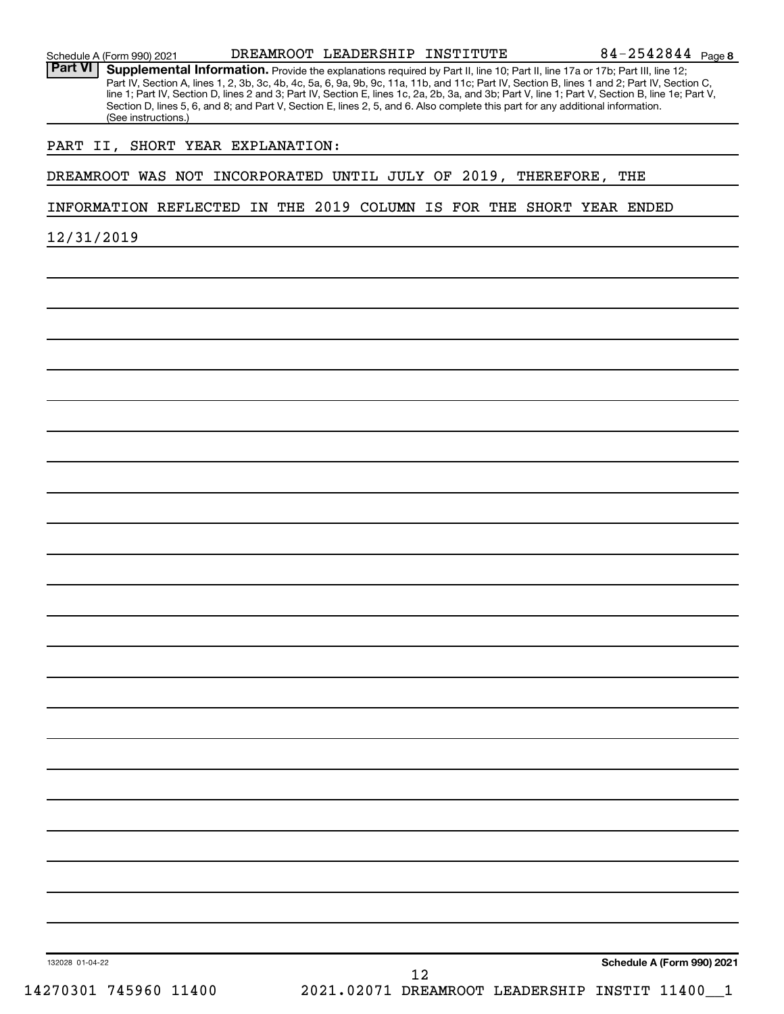| Schedule A (Form 990) 2021<br>Part VI                                | DREAMROOT LEADERSHIP INSTITUTE                                                                                                                                                                                                                                   |    | $84 - 2542844$ Page 8                                                                                                                                                                                                                                                                            |
|----------------------------------------------------------------------|------------------------------------------------------------------------------------------------------------------------------------------------------------------------------------------------------------------------------------------------------------------|----|--------------------------------------------------------------------------------------------------------------------------------------------------------------------------------------------------------------------------------------------------------------------------------------------------|
| (See instructions.)                                                  | Supplemental Information. Provide the explanations required by Part II, line 10; Part II, line 17a or 17b; Part III, line 12;<br>Section D, lines 5, 6, and 8; and Part V, Section E, lines 2, 5, and 6. Also complete this part for any additional information. |    | Part IV, Section A, lines 1, 2, 3b, 3c, 4b, 4c, 5a, 6, 9a, 9b, 9c, 11a, 11b, and 11c; Part IV, Section B, lines 1 and 2; Part IV, Section C,<br>line 1; Part IV, Section D, lines 2 and 3; Part IV, Section E, lines 1c, 2a, 2b, 3a, and 3b; Part V, line 1; Part V, Section B, line 1e; Part V, |
|                                                                      |                                                                                                                                                                                                                                                                  |    |                                                                                                                                                                                                                                                                                                  |
| PART II, SHORT YEAR EXPLANATION:                                     |                                                                                                                                                                                                                                                                  |    |                                                                                                                                                                                                                                                                                                  |
| DREAMROOT WAS NOT INCORPORATED UNTIL JULY OF 2019, THEREFORE, THE    |                                                                                                                                                                                                                                                                  |    |                                                                                                                                                                                                                                                                                                  |
| INFORMATION REFLECTED IN THE 2019 COLUMN IS FOR THE SHORT YEAR ENDED |                                                                                                                                                                                                                                                                  |    |                                                                                                                                                                                                                                                                                                  |
| 12/31/2019                                                           |                                                                                                                                                                                                                                                                  |    |                                                                                                                                                                                                                                                                                                  |
|                                                                      |                                                                                                                                                                                                                                                                  |    |                                                                                                                                                                                                                                                                                                  |
|                                                                      |                                                                                                                                                                                                                                                                  |    |                                                                                                                                                                                                                                                                                                  |
|                                                                      |                                                                                                                                                                                                                                                                  |    |                                                                                                                                                                                                                                                                                                  |
|                                                                      |                                                                                                                                                                                                                                                                  |    |                                                                                                                                                                                                                                                                                                  |
|                                                                      |                                                                                                                                                                                                                                                                  |    |                                                                                                                                                                                                                                                                                                  |
|                                                                      |                                                                                                                                                                                                                                                                  |    |                                                                                                                                                                                                                                                                                                  |
|                                                                      |                                                                                                                                                                                                                                                                  |    |                                                                                                                                                                                                                                                                                                  |
|                                                                      |                                                                                                                                                                                                                                                                  |    |                                                                                                                                                                                                                                                                                                  |
|                                                                      |                                                                                                                                                                                                                                                                  |    |                                                                                                                                                                                                                                                                                                  |
|                                                                      |                                                                                                                                                                                                                                                                  |    |                                                                                                                                                                                                                                                                                                  |
|                                                                      |                                                                                                                                                                                                                                                                  |    |                                                                                                                                                                                                                                                                                                  |
|                                                                      |                                                                                                                                                                                                                                                                  |    |                                                                                                                                                                                                                                                                                                  |
|                                                                      |                                                                                                                                                                                                                                                                  |    |                                                                                                                                                                                                                                                                                                  |
|                                                                      |                                                                                                                                                                                                                                                                  |    |                                                                                                                                                                                                                                                                                                  |
|                                                                      |                                                                                                                                                                                                                                                                  |    |                                                                                                                                                                                                                                                                                                  |
|                                                                      |                                                                                                                                                                                                                                                                  |    |                                                                                                                                                                                                                                                                                                  |
|                                                                      |                                                                                                                                                                                                                                                                  |    |                                                                                                                                                                                                                                                                                                  |
|                                                                      |                                                                                                                                                                                                                                                                  |    |                                                                                                                                                                                                                                                                                                  |
|                                                                      |                                                                                                                                                                                                                                                                  |    |                                                                                                                                                                                                                                                                                                  |
|                                                                      |                                                                                                                                                                                                                                                                  |    |                                                                                                                                                                                                                                                                                                  |
|                                                                      |                                                                                                                                                                                                                                                                  |    |                                                                                                                                                                                                                                                                                                  |
|                                                                      |                                                                                                                                                                                                                                                                  |    |                                                                                                                                                                                                                                                                                                  |
|                                                                      |                                                                                                                                                                                                                                                                  |    |                                                                                                                                                                                                                                                                                                  |
|                                                                      |                                                                                                                                                                                                                                                                  |    |                                                                                                                                                                                                                                                                                                  |
|                                                                      |                                                                                                                                                                                                                                                                  |    |                                                                                                                                                                                                                                                                                                  |
|                                                                      |                                                                                                                                                                                                                                                                  |    |                                                                                                                                                                                                                                                                                                  |
|                                                                      |                                                                                                                                                                                                                                                                  |    |                                                                                                                                                                                                                                                                                                  |
|                                                                      |                                                                                                                                                                                                                                                                  |    |                                                                                                                                                                                                                                                                                                  |
|                                                                      |                                                                                                                                                                                                                                                                  |    |                                                                                                                                                                                                                                                                                                  |
|                                                                      |                                                                                                                                                                                                                                                                  |    |                                                                                                                                                                                                                                                                                                  |
|                                                                      |                                                                                                                                                                                                                                                                  |    |                                                                                                                                                                                                                                                                                                  |
| 132028 01-04-22                                                      |                                                                                                                                                                                                                                                                  |    | Schedule A (Form 990) 2021                                                                                                                                                                                                                                                                       |
| 14270301 745960 11400                                                |                                                                                                                                                                                                                                                                  |    | 2021.02071 DREAMROOT LEADERSHIP INSTIT 11400_1                                                                                                                                                                                                                                                   |
|                                                                      |                                                                                                                                                                                                                                                                  | 12 |                                                                                                                                                                                                                                                                                                  |

84-2542844 Page 8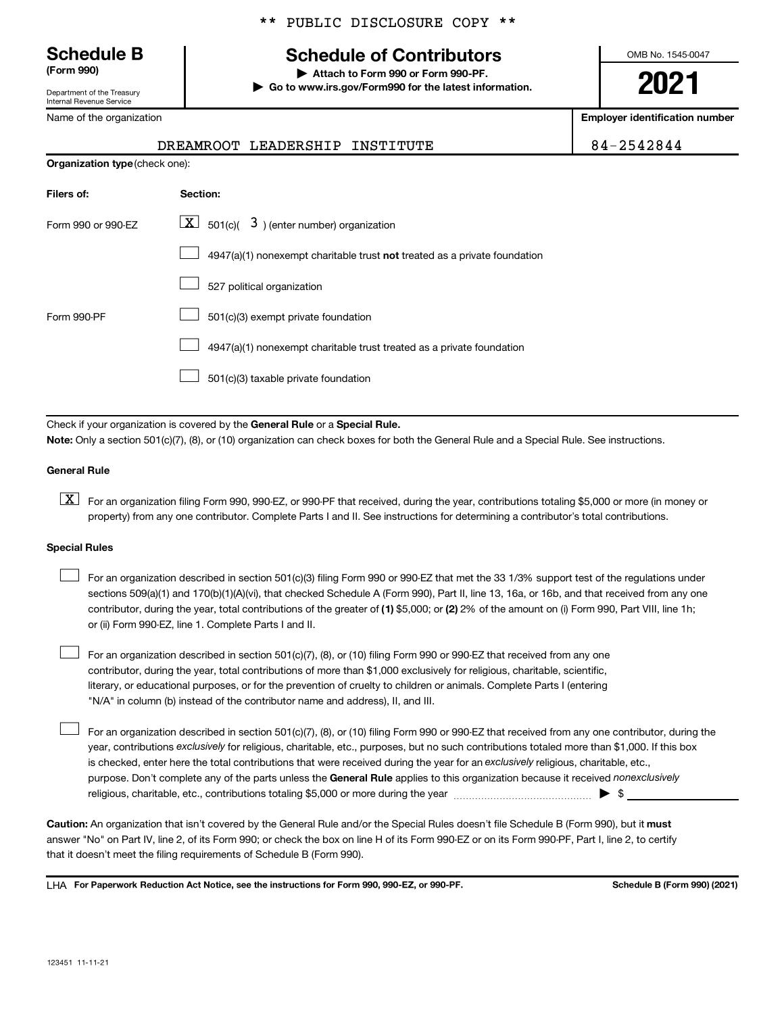Department of the Treasury Internal Revenue Service

Name of the organization

**Organization type** (check one):

### \*\* PUBLIC DISCLOSURE COPY \*\*

## **Schedule B Schedule of Contributors**

**(Form 990) | Attach to Form 990 or Form 990-PF. | Go to www.irs.gov/Form990 for the latest information.** OMB No. 1545-0047

**2021**

**Employer identification number**

|          | DREAMROOT LEADERSHIP INSTITUTE | 84-2542844 |
|----------|--------------------------------|------------|
| ck one): |                                |            |

| Filers of:         | Section:                                                                  |
|--------------------|---------------------------------------------------------------------------|
| Form 990 or 990-EZ | $\lfloor x \rfloor$ 501(c)( 3) (enter number) organization                |
|                    | 4947(a)(1) nonexempt charitable trust not treated as a private foundation |
|                    | 527 political organization                                                |
| Form 990-PF        | 501(c)(3) exempt private foundation                                       |
|                    | 4947(a)(1) nonexempt charitable trust treated as a private foundation     |
|                    | 501(c)(3) taxable private foundation                                      |

Check if your organization is covered by the General Rule or a Special Rule.

**Note:**  Only a section 501(c)(7), (8), or (10) organization can check boxes for both the General Rule and a Special Rule. See instructions.

#### **General Rule**

**K** For an organization filing Form 990, 990-EZ, or 990-PF that received, during the year, contributions totaling \$5,000 or more (in money or property) from any one contributor. Complete Parts I and II. See instructions for determining a contributor's total contributions.

#### **Special Rules**

 $\Box$ 

contributor, during the year, total contributions of the greater of (1) \$5,000; or (2) 2% of the amount on (i) Form 990, Part VIII, line 1h; For an organization described in section 501(c)(3) filing Form 990 or 990-EZ that met the 33 1/3% support test of the regulations under sections 509(a)(1) and 170(b)(1)(A)(vi), that checked Schedule A (Form 990), Part II, line 13, 16a, or 16b, and that received from any one or (ii) Form 990-EZ, line 1. Complete Parts I and II.  $\Box$ 

For an organization described in section 501(c)(7), (8), or (10) filing Form 990 or 990-EZ that received from any one contributor, during the year, total contributions of more than \$1,000 exclusively for religious, charitable, scientific, literary, or educational purposes, or for the prevention of cruelty to children or animals. Complete Parts I (entering "N/A" in column (b) instead of the contributor name and address), II, and III.  $\Box$ 

purpose. Don't complete any of the parts unless the General Rule applies to this organization because it received nonexclusively year, contributions exclusively for religious, charitable, etc., purposes, but no such contributions totaled more than \$1,000. If this box is checked, enter here the total contributions that were received during the year for an exclusively religious, charitable, etc., For an organization described in section 501(c)(7), (8), or (10) filing Form 990 or 990-EZ that received from any one contributor, during the religious, charitable, etc., contributions totaling \$5,000 or more during the year  $~\ldots\ldots\ldots\ldots\ldots\ldots\ldots\ldots\blacktriangleright~$ \$

Caution: An organization that isn't covered by the General Rule and/or the Special Rules doesn't file Schedule B (Form 990), but it must answer "No" on Part IV, line 2, of its Form 990; or check the box on line H of its Form 990-EZ or on its Form 990-PF, Part I, line 2, to certify that it doesn't meet the filing requirements of Schedule B (Form 990).

LHA For Paperwork Reduction Act Notice, see the instructions for Form 990, 990-EZ, or 990-PF. **Schell B (Form 990)** (2021)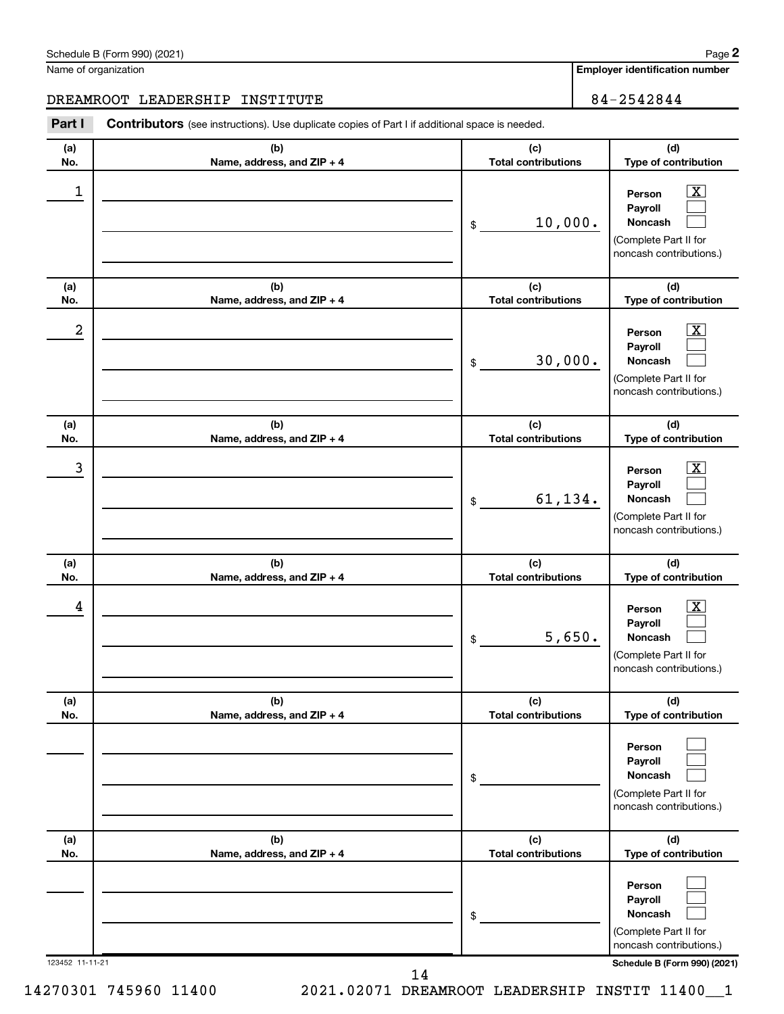DREAMROOT LEADERSHIP INSTITUTE 84-2542844

**Part I** Contributors (see instructions). Use duplicate copies of Part I if additional space is needed.

123452 11-11-21 **Schedule B (Form 990) (2021) (a) No. (b) Name, address, and ZIP + 4 (c) Total contributions (d) Type of contribution Person Payroll Noncash (a) No. (b) Name, address, and ZIP + 4 (c) Total contributions (d) Type of contribution Person Payroll Noncash (a) No. (b) Name, address, and ZIP + 4 (c) Total contributions (d) Type of contribution Person Payroll Noncash (a) No. (b) Name, address, and ZIP + 4 (c) Total contributions (d) Type of contribution Person Payroll Noncash (a) No. (b) Name, address, and ZIP + 4 (c) Total contributions (d) Type of contribution Person Payroll Noncash (a) No. (b) Name, address, and ZIP + 4 (c) Total contributions (d) Type of contribution Person Payroll Noncash** \$ (Complete Part II for noncash contributions.) \$ (Complete Part II for noncash contributions.) \$ (Complete Part II for noncash contributions.) \$ (Complete Part II for noncash contributions.) \$ (Complete Part II for noncash contributions.) \$ (Complete Part II for noncash contributions.)  $\lfloor x \rfloor$  $\Box$  $\Box$  $\overline{\mathbf{X}}$  $\Box$  $\Box$  $\boxed{\textbf{X}}$  $\Box$  $\Box$  $\boxed{\textbf{X}}$  $\Box$  $\Box$  $\Box$  $\Box$  $\Box$  $\Box$  $\Box$  $\Box$  $\begin{array}{|c|c|c|c|c|}\hline \ \text{1} & \text{Person} & \text{X} \ \hline \end{array}$ 10,000.  $2$  Person  $\overline{\text{X}}$ 30,000.  $\begin{array}{|c|c|c|c|c|c|}\hline \text{3} & \text{Person} & \text{X} \ \hline \end{array}$ 61,134.  $\begin{array}{|c|c|c|c|c|}\hline \text{4} & \text{Person} & \text{\textbf{X}}\ \hline \end{array}$ 5,650. 14

**Employer identification number**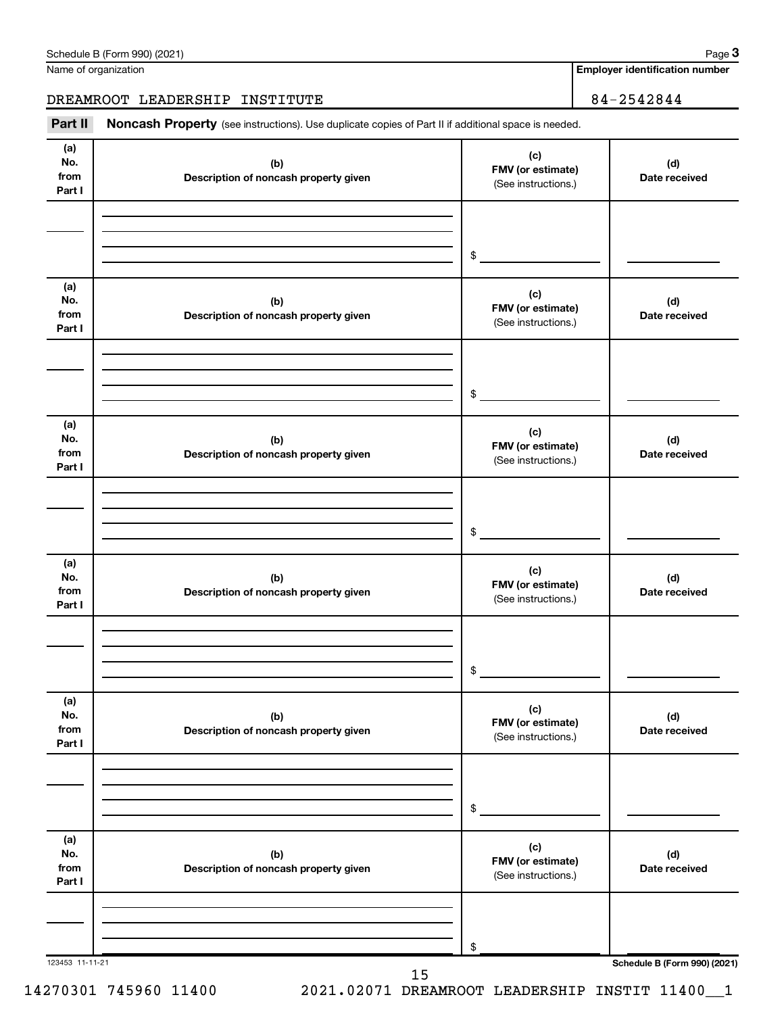|                              | DREAMROOT LEADERSHIP INSTITUTE                                                                      |                                                 | 84-2542844                   |
|------------------------------|-----------------------------------------------------------------------------------------------------|-------------------------------------------------|------------------------------|
| Part II                      | Noncash Property (see instructions). Use duplicate copies of Part II if additional space is needed. |                                                 |                              |
| (a)<br>No.<br>from<br>Part I | (b)<br>Description of noncash property given                                                        | (c)<br>FMV (or estimate)<br>(See instructions.) | (d)<br>Date received         |
|                              |                                                                                                     | \$                                              |                              |
|                              |                                                                                                     |                                                 |                              |
| (a)<br>No.<br>from<br>Part I | (b)<br>Description of noncash property given                                                        | (c)<br>FMV (or estimate)<br>(See instructions.) | (d)<br>Date received         |
|                              |                                                                                                     | \$                                              |                              |
|                              |                                                                                                     |                                                 |                              |
| (a)<br>No.<br>from<br>Part I | (b)<br>Description of noncash property given                                                        | (c)<br>FMV (or estimate)<br>(See instructions.) | (d)<br>Date received         |
|                              |                                                                                                     |                                                 |                              |
|                              |                                                                                                     |                                                 |                              |
|                              |                                                                                                     | \$                                              |                              |
| (a)<br>No.<br>from<br>Part I | (b)<br>Description of noncash property given                                                        | (c)<br>FMV (or estimate)<br>(See instructions.) | (d)<br>Date received         |
|                              |                                                                                                     |                                                 |                              |
|                              |                                                                                                     |                                                 |                              |
|                              |                                                                                                     | \$                                              |                              |
| (a)<br>No.<br>from<br>Part I | (b)<br>Description of noncash property given                                                        | (c)<br>FMV (or estimate)<br>(See instructions.) | (d)<br>Date received         |
|                              |                                                                                                     |                                                 |                              |
|                              |                                                                                                     |                                                 |                              |
|                              |                                                                                                     | \$                                              |                              |
| (a)<br>No.<br>from           | (b)<br>Description of noncash property given                                                        | (c)<br>FMV (or estimate)                        | (d)<br>Date received         |
| Part I                       |                                                                                                     | (See instructions.)                             |                              |
|                              |                                                                                                     |                                                 |                              |
|                              |                                                                                                     |                                                 |                              |
| 123453 11-11-21              |                                                                                                     | \$                                              | Schedule B (Form 990) (2021) |

Schedule B (Form 990) (2021) Name of organization

**Employer identification number**

<sup>14270301 745960 11400 2021.02071</sup> DREAMROOT LEADERSHIP INSTIT 11400\_\_1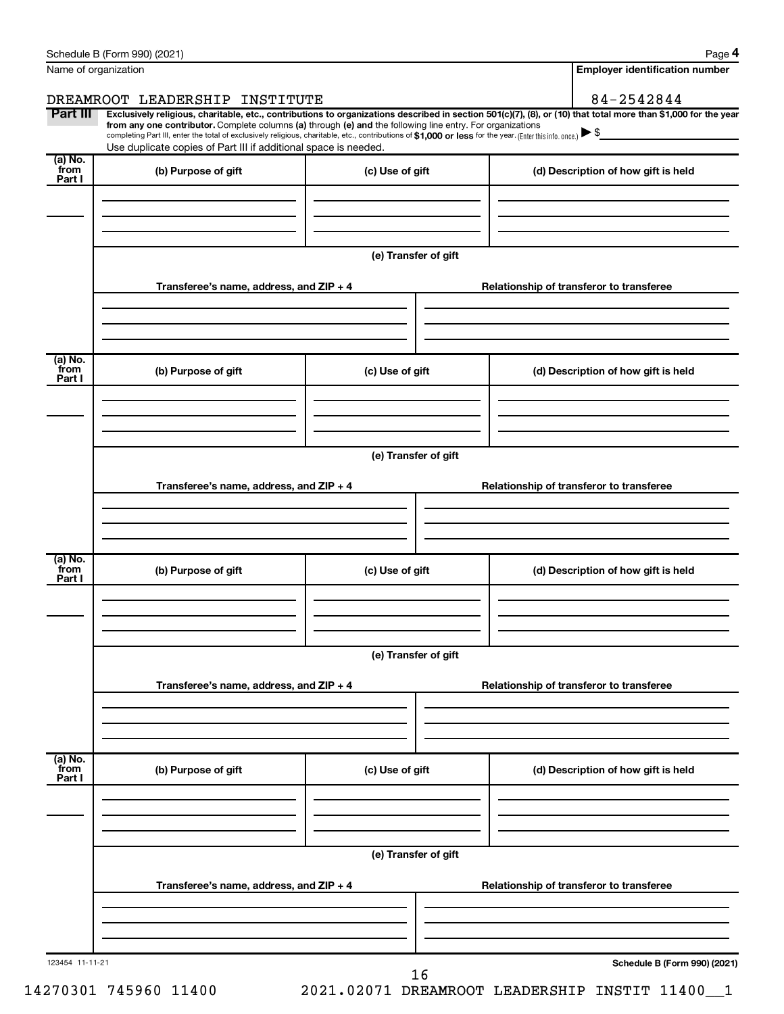|                      | Schedule B (Form 990) (2021)                                                                                                                             |                 |                                                                                                                                                                | Page 4                                   |  |  |  |
|----------------------|----------------------------------------------------------------------------------------------------------------------------------------------------------|-----------------|----------------------------------------------------------------------------------------------------------------------------------------------------------------|------------------------------------------|--|--|--|
| Name of organization |                                                                                                                                                          |                 |                                                                                                                                                                | <b>Employer identification number</b>    |  |  |  |
|                      | DREAMROOT LEADERSHIP INSTITUTE                                                                                                                           |                 |                                                                                                                                                                | 84-2542844                               |  |  |  |
| Part III             | from any one contributor. Complete columns (a) through (e) and the following line entry. For organizations                                               |                 | Exclusively religious, charitable, etc., contributions to organizations described in section 501(c)(7), (8), or (10) that total more than \$1,000 for the year |                                          |  |  |  |
|                      | completing Part III, enter the total of exclusively religious, charitable, etc., contributions of \$1,000 or less for the year. (Enter this info. once.) |                 |                                                                                                                                                                |                                          |  |  |  |
| (a) No.              | Use duplicate copies of Part III if additional space is needed.                                                                                          |                 |                                                                                                                                                                |                                          |  |  |  |
| from<br>Part I       | (b) Purpose of gift                                                                                                                                      | (c) Use of gift |                                                                                                                                                                | (d) Description of how gift is held      |  |  |  |
|                      |                                                                                                                                                          |                 |                                                                                                                                                                |                                          |  |  |  |
|                      |                                                                                                                                                          |                 |                                                                                                                                                                |                                          |  |  |  |
|                      |                                                                                                                                                          |                 |                                                                                                                                                                |                                          |  |  |  |
|                      | (e) Transfer of gift                                                                                                                                     |                 |                                                                                                                                                                |                                          |  |  |  |
|                      | Transferee's name, address, and ZIP + 4                                                                                                                  |                 | Relationship of transferor to transferee                                                                                                                       |                                          |  |  |  |
|                      |                                                                                                                                                          |                 |                                                                                                                                                                |                                          |  |  |  |
|                      |                                                                                                                                                          |                 |                                                                                                                                                                |                                          |  |  |  |
|                      |                                                                                                                                                          |                 |                                                                                                                                                                |                                          |  |  |  |
| (a) No.<br>from      | (b) Purpose of gift                                                                                                                                      | (c) Use of gift |                                                                                                                                                                | (d) Description of how gift is held      |  |  |  |
| Part I               |                                                                                                                                                          |                 |                                                                                                                                                                |                                          |  |  |  |
|                      |                                                                                                                                                          |                 |                                                                                                                                                                |                                          |  |  |  |
|                      |                                                                                                                                                          |                 |                                                                                                                                                                |                                          |  |  |  |
|                      | (e) Transfer of gift                                                                                                                                     |                 |                                                                                                                                                                |                                          |  |  |  |
|                      |                                                                                                                                                          |                 |                                                                                                                                                                |                                          |  |  |  |
|                      | Transferee's name, address, and ZIP + 4                                                                                                                  |                 |                                                                                                                                                                | Relationship of transferor to transferee |  |  |  |
|                      |                                                                                                                                                          |                 |                                                                                                                                                                |                                          |  |  |  |
|                      |                                                                                                                                                          |                 |                                                                                                                                                                |                                          |  |  |  |
| (a) No.<br>from      |                                                                                                                                                          |                 |                                                                                                                                                                |                                          |  |  |  |
| Part I               | (b) Purpose of gift                                                                                                                                      | (c) Use of gift |                                                                                                                                                                | (d) Description of how gift is held      |  |  |  |
|                      |                                                                                                                                                          |                 |                                                                                                                                                                |                                          |  |  |  |
|                      |                                                                                                                                                          |                 |                                                                                                                                                                |                                          |  |  |  |
|                      |                                                                                                                                                          |                 |                                                                                                                                                                |                                          |  |  |  |
|                      | (e) Transfer of gift                                                                                                                                     |                 |                                                                                                                                                                |                                          |  |  |  |
|                      | Transferee's name, address, and ZIP + 4                                                                                                                  |                 | Relationship of transferor to transferee                                                                                                                       |                                          |  |  |  |
|                      |                                                                                                                                                          |                 |                                                                                                                                                                |                                          |  |  |  |
|                      |                                                                                                                                                          |                 |                                                                                                                                                                |                                          |  |  |  |
| (a) No.<br>from      |                                                                                                                                                          |                 |                                                                                                                                                                |                                          |  |  |  |
| Part I               | (b) Purpose of gift                                                                                                                                      | (c) Use of gift |                                                                                                                                                                | (d) Description of how gift is held      |  |  |  |
|                      |                                                                                                                                                          |                 |                                                                                                                                                                |                                          |  |  |  |
|                      |                                                                                                                                                          |                 |                                                                                                                                                                |                                          |  |  |  |
|                      |                                                                                                                                                          |                 |                                                                                                                                                                |                                          |  |  |  |
|                      | (e) Transfer of gift                                                                                                                                     |                 |                                                                                                                                                                |                                          |  |  |  |
|                      | Transferee's name, address, and ZIP + 4                                                                                                                  |                 |                                                                                                                                                                | Relationship of transferor to transferee |  |  |  |
|                      |                                                                                                                                                          |                 |                                                                                                                                                                |                                          |  |  |  |
|                      |                                                                                                                                                          |                 |                                                                                                                                                                |                                          |  |  |  |
|                      |                                                                                                                                                          |                 |                                                                                                                                                                |                                          |  |  |  |
| 123454 11-11-21      |                                                                                                                                                          | 16              |                                                                                                                                                                | Schedule B (Form 990) (2021)             |  |  |  |
|                      |                                                                                                                                                          |                 |                                                                                                                                                                |                                          |  |  |  |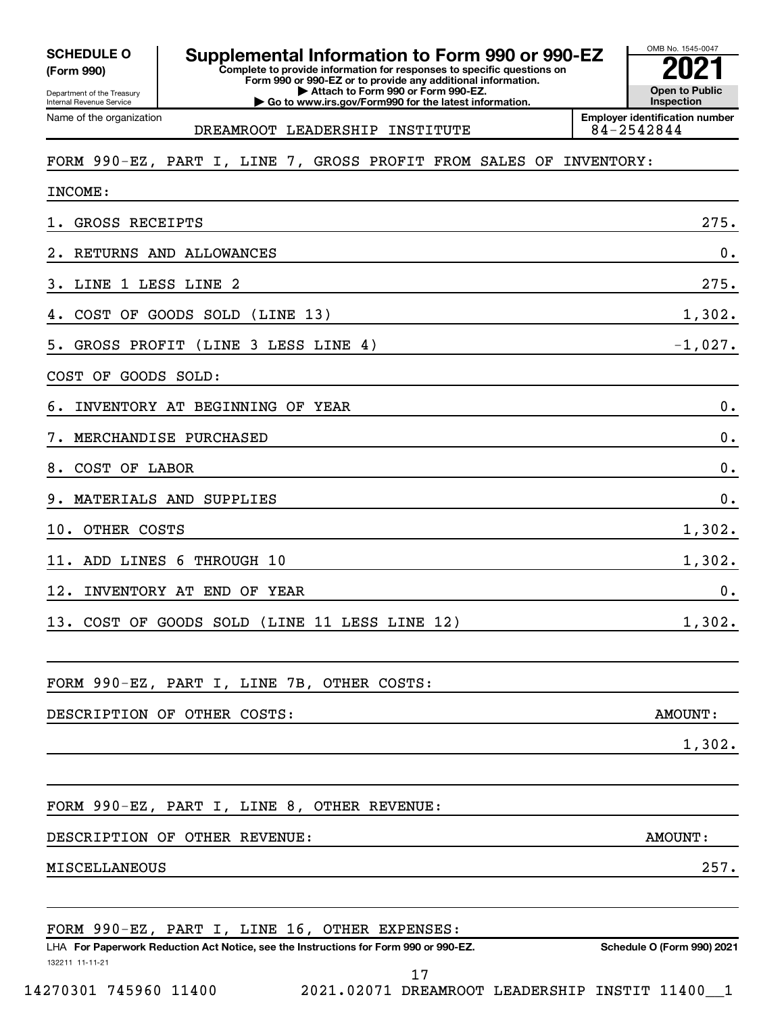**(Form 990)**

## Department of the Treasury Internal Revenue Service

OMB No. 1545-0047 SCHEDULE O Supplemental Information to Form 990 or 990-EZ  $\frac{\text{OMB No. 1845-0047}}{\text{Complete to provide information for response to specific questions on}}$ **Form 990 or 990-EZ or to provide any additional information. | Attach to Form 990 or Form 990-EZ. | Go to www.irs.gov/Form990 for the latest information. Open to Public Inspection Employer identification number** Name of the organization DREAMROOT LEADERSHIP INSTITUTE

## FORM 990-EZ, PART I, LINE 7, GROSS PROFIT FROM SALES OF INVENTORY:

| INCOME:                                       |                |
|-----------------------------------------------|----------------|
| 1. GROSS RECEIPTS                             | 275.           |
| 2. RETURNS AND ALLOWANCES                     | 0.             |
| 3. LINE 1 LESS LINE 2                         | 275.           |
| 4. COST OF GOODS SOLD (LINE 13)               | 1,302.         |
| 5. GROSS PROFIT (LINE 3 LESS LINE 4)          | $-1,027.$      |
| COST OF GOODS SOLD:                           |                |
| 6. INVENTORY AT BEGINNING OF YEAR             | 0.             |
| 7. MERCHANDISE PURCHASED                      | 0.             |
| 8. COST OF LABOR                              | 0.             |
| 9. MATERIALS AND SUPPLIES                     | 0.             |
| 10. OTHER COSTS                               | 1,302.         |
| 11. ADD LINES 6<br>THROUGH 10                 | 1,302.         |
| 12. INVENTORY AT END OF YEAR                  | 0.             |
| 13. COST OF GOODS SOLD (LINE 11 LESS LINE 12) | 1,302.         |
| FORM 990-EZ, PART I, LINE 7B, OTHER COSTS:    |                |
| DESCRIPTION OF OTHER COSTS:                   | <b>AMOUNT:</b> |
|                                               | 1,302.         |
| FORM 990-EZ, PART I, LINE 8, OTHER REVENUE:   |                |
| DESCRIPTION OF OTHER REVENUE:                 | AMOUNT:        |
| <b>MISCELLANEOUS</b>                          | 257.           |
| FORM 990-EZ, PART I, LINE 16, OTHER EXPENSES: |                |